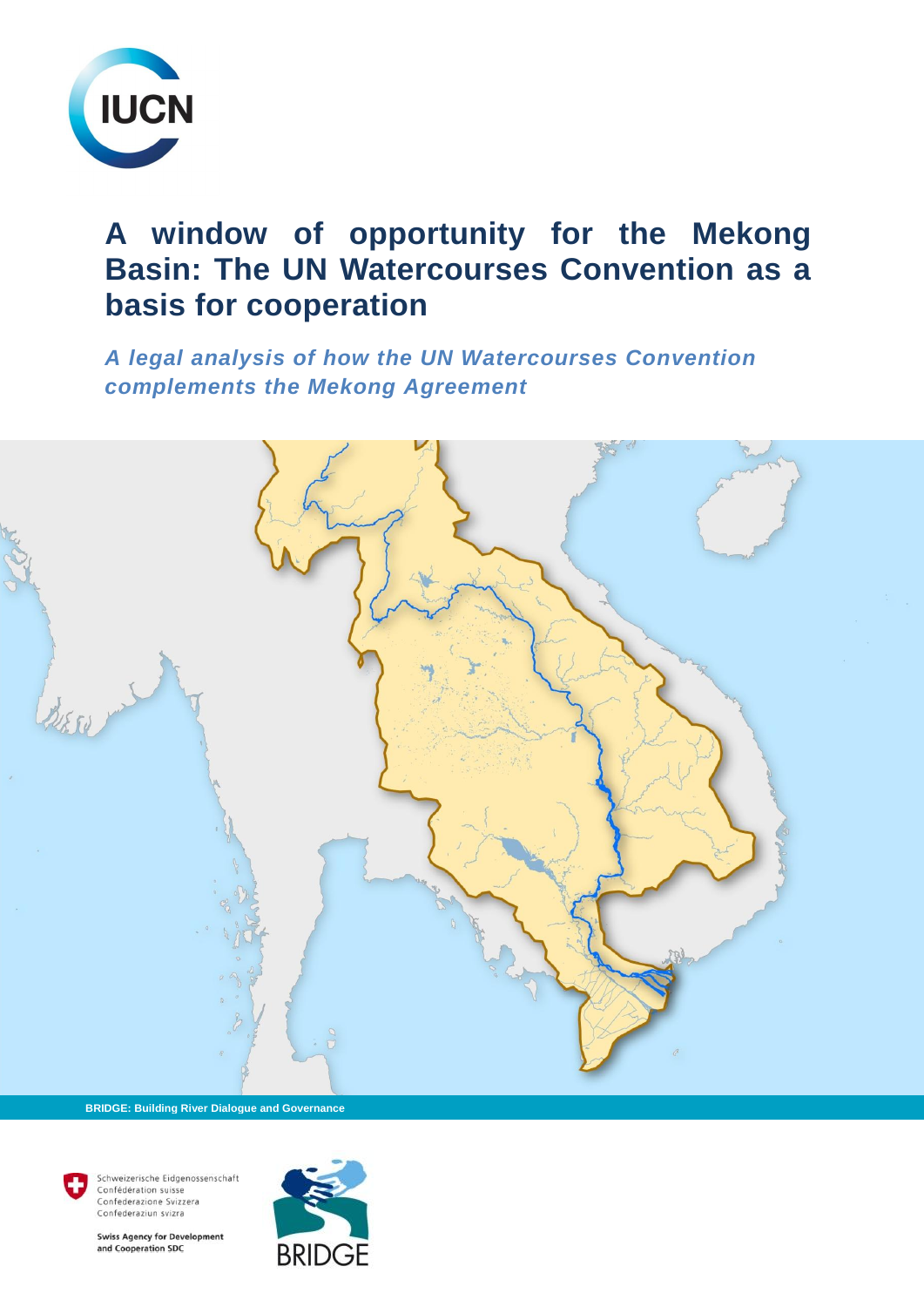

# **A window of opportunity for the Mekong Basin: The UN Watercourses Convention as a basis for cooperation**

*A legal analysis of how the UN Watercourses Convention complements the Mekong Agreement* 



 **BRIDGE: Building River Dialogue and Governance**

Confédération suisse Confederazione Svizzera Confederaziun svizra

Schweizerische Eidgenossenschaft

**Swiss Agency for Development** and Cooperation SDC

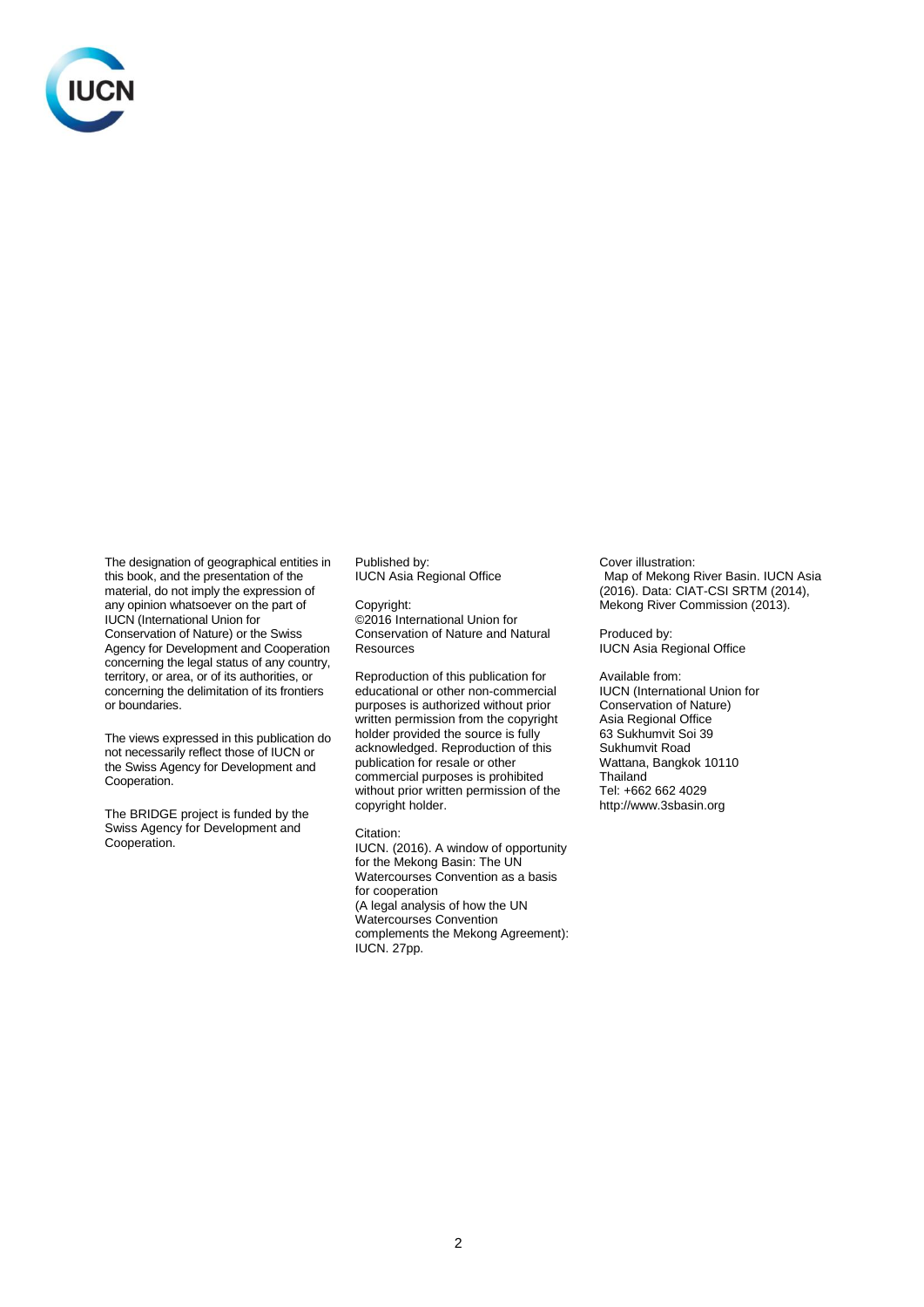

The designation of geographical entities in this book, and the presentation of the material, do not imply the expression of any opinion whatsoever on the part of IUCN (International Union for Conservation of Nature) or the Swiss Agency for Development and Cooperation concerning the legal status of any country, territory, or area, or of its authorities, or concerning the delimitation of its frontiers or boundaries.

The views expressed in this publication do not necessarily reflect those of IUCN or the Swiss Agency for Development and Cooperation.

The BRIDGE project is funded by the Swiss Agency for Development and Cooperation.

Published by: IUCN Asia Regional Office

Copyright: ©2016 International Union for Conservation of Nature and Natural **Resources** 

Reproduction of this publication for educational or other non-commercial purposes is authorized without prior written permission from the copyright holder provided the source is fully acknowledged. Reproduction of this publication for resale or other commercial purposes is prohibited without prior written permission of the copyright holder.

Citation: IUCN. (2016). A window of opportunity

for the Mekong Basin: The UN Watercourses Convention as a basis for cooperation (A legal analysis of how the UN Watercourses Convention complements the Mekong Agreement): IUCN. 27pp.

Cover illustration: Map of Mekong River Basin. IUCN Asia (2016). Data: CIAT-CSI SRTM (2014), Mekong River Commission (2013).

Produced by: IUCN Asia Regional Office

Available from: IUCN (International Union for Conservation of Nature) Asia Regional Office 63 Sukhumvit Soi 39 Sukhumvit Road Wattana, Bangkok 10110 **Thailand** Tel: +662 662 4029 http://www.3sbasin.org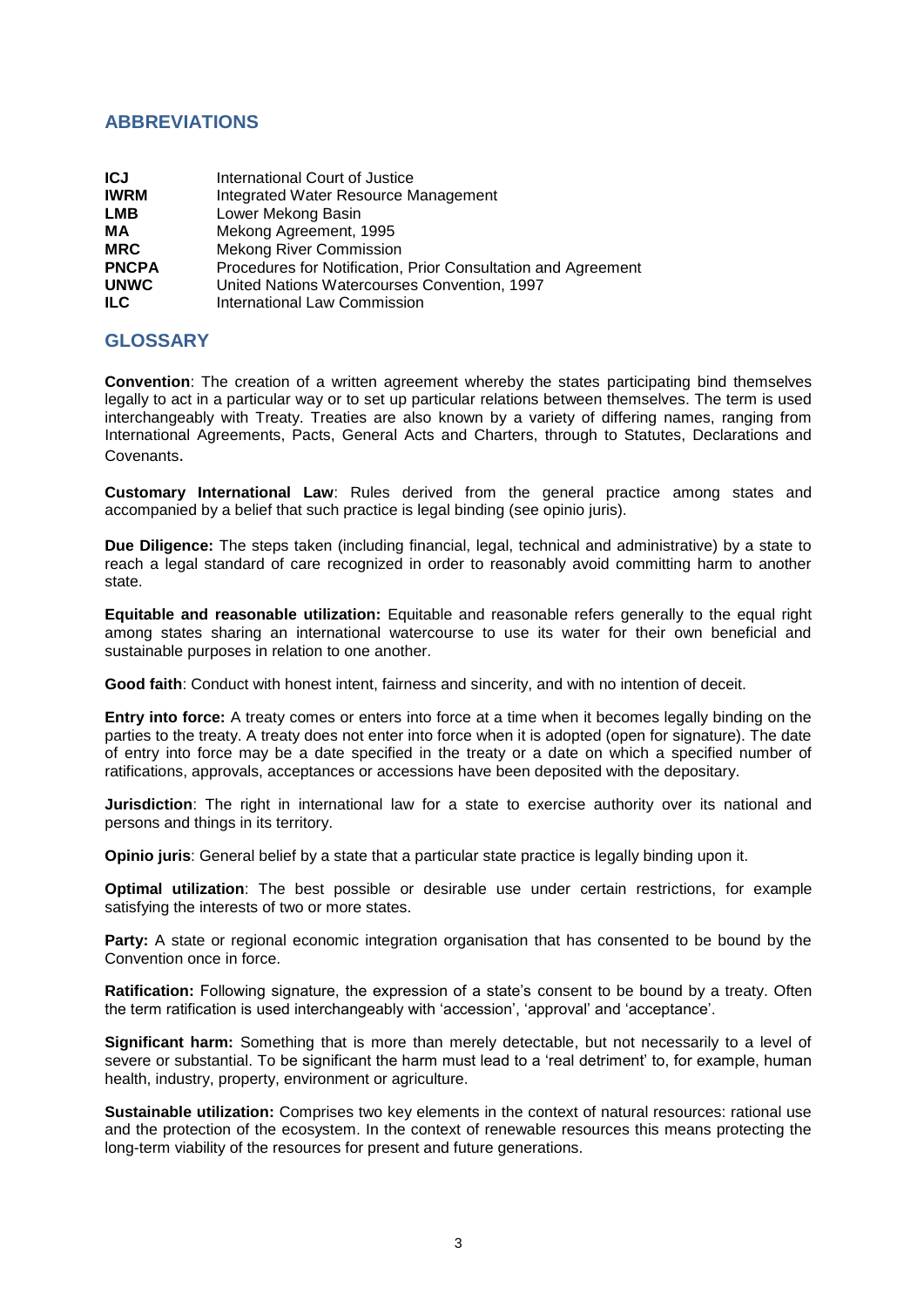### **ABBREVIATIONS**

| <b>ICJ</b>   | International Court of Justice                                |
|--------------|---------------------------------------------------------------|
| <b>IWRM</b>  | Integrated Water Resource Management                          |
| <b>LMB</b>   | Lower Mekong Basin                                            |
| MА           | Mekong Agreement, 1995                                        |
| <b>MRC</b>   | <b>Mekong River Commission</b>                                |
| <b>PNCPA</b> | Procedures for Notification, Prior Consultation and Agreement |
| <b>UNWC</b>  | United Nations Watercourses Convention, 1997                  |
| ILC.         | International Law Commission                                  |

### **GLOSSARY**

**Convention**: The creation of a written agreement whereby the states participating bind themselves legally to act in a particular way or to set up particular relations between themselves. The term is used interchangeably with Treaty. Treaties are also known by a variety of differing names, ranging from International Agreements, Pacts, General Acts and Charters, through to Statutes, Declarations and Covenants.

**Customary International Law**: Rules derived from the general practice among states and accompanied by a belief that such practice is legal binding (see opinio juris).

**Due Diligence:** The steps taken (including financial, legal, technical and administrative) by a state to reach a legal standard of care recognized in order to reasonably avoid committing harm to another state.

**Equitable and reasonable utilization:** Equitable and reasonable refers generally to the equal right among states sharing an international watercourse to use its water for their own beneficial and sustainable purposes in relation to one another.

**Good faith**: Conduct with honest intent, fairness and sincerity, and with no intention of deceit.

**Entry into force:** A treaty comes or enters into force at a time when it becomes legally binding on the parties to the treaty. A treaty does not enter into force when it is adopted (open for signature). The date of entry into force may be a date specified in the treaty or a date on which a specified number of ratifications, approvals, acceptances or accessions have been deposited with the depositary.

**Jurisdiction**: The right in international law for a state to exercise authority over its national and persons and things in its territory.

**Opinio juris**: General belief by a state that a particular state practice is legally binding upon it.

**Optimal utilization**: The best possible or desirable use under certain restrictions, for example satisfying the interests of two or more states.

Party: A state or regional economic integration organisation that has consented to be bound by the Convention once in force.

**Ratification:** Following signature, the expression of a state's consent to be bound by a treaty. Often the term ratification is used interchangeably with 'accession', 'approval' and 'acceptance'.

**Significant harm:** Something that is more than merely detectable, but not necessarily to a level of severe or substantial. To be significant the harm must lead to a 'real detriment' to, for example, human health, industry, property, environment or agriculture.

**Sustainable utilization:** Comprises two key elements in the context of natural resources: rational use and the protection of the ecosystem. In the context of renewable resources this means protecting the long-term viability of the resources for present and future generations.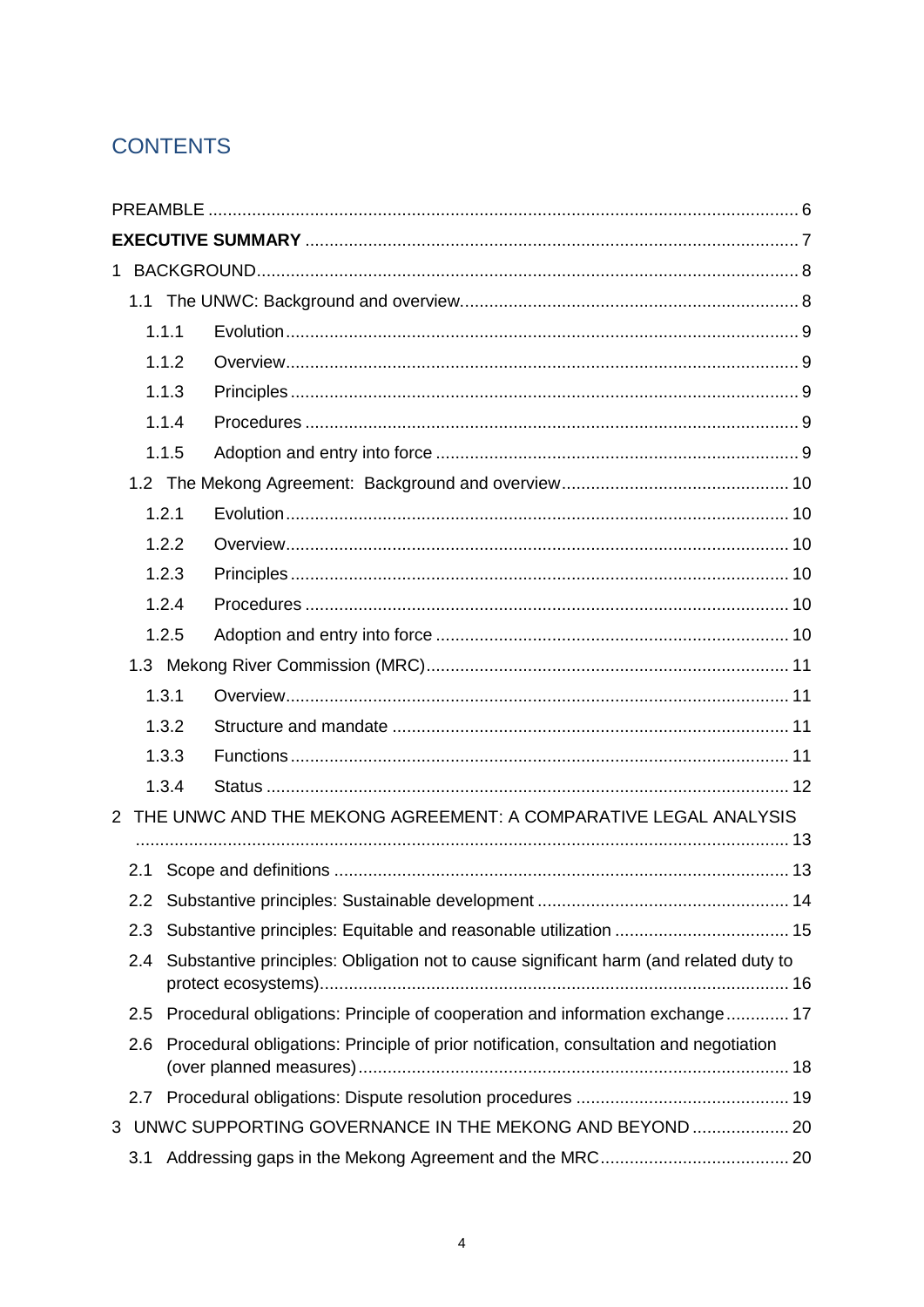# **CONTENTS**

|                                                                   |                                                                                              | 1.1.1                                                                                 |                                                                              |  |  |
|-------------------------------------------------------------------|----------------------------------------------------------------------------------------------|---------------------------------------------------------------------------------------|------------------------------------------------------------------------------|--|--|
|                                                                   |                                                                                              | 1.1.2                                                                                 |                                                                              |  |  |
|                                                                   |                                                                                              | 1.1.3                                                                                 |                                                                              |  |  |
|                                                                   |                                                                                              | 1.1.4                                                                                 |                                                                              |  |  |
|                                                                   |                                                                                              | 1.1.5                                                                                 |                                                                              |  |  |
|                                                                   |                                                                                              |                                                                                       |                                                                              |  |  |
|                                                                   |                                                                                              | 1.2.1                                                                                 |                                                                              |  |  |
|                                                                   |                                                                                              | 1.2.2                                                                                 |                                                                              |  |  |
|                                                                   |                                                                                              | 1.2.3                                                                                 |                                                                              |  |  |
|                                                                   |                                                                                              | 1.2.4                                                                                 |                                                                              |  |  |
|                                                                   |                                                                                              | 1.2.5                                                                                 |                                                                              |  |  |
|                                                                   |                                                                                              |                                                                                       |                                                                              |  |  |
|                                                                   |                                                                                              | 1.3.1                                                                                 |                                                                              |  |  |
|                                                                   |                                                                                              | 1.3.2                                                                                 |                                                                              |  |  |
|                                                                   |                                                                                              | 1.3.3                                                                                 |                                                                              |  |  |
|                                                                   |                                                                                              | 1.3.4                                                                                 |                                                                              |  |  |
| 2 THE UNWC AND THE MEKONG AGREEMENT: A COMPARATIVE LEGAL ANALYSIS |                                                                                              |                                                                                       |                                                                              |  |  |
|                                                                   |                                                                                              |                                                                                       |                                                                              |  |  |
|                                                                   | 2.1                                                                                          |                                                                                       |                                                                              |  |  |
|                                                                   | 2.2                                                                                          |                                                                                       |                                                                              |  |  |
|                                                                   | 2.3                                                                                          |                                                                                       |                                                                              |  |  |
|                                                                   | 2.4                                                                                          | Substantive principles: Obligation not to cause significant harm (and related duty to |                                                                              |  |  |
|                                                                   | 2.5                                                                                          |                                                                                       | Procedural obligations: Principle of cooperation and information exchange 17 |  |  |
|                                                                   | Procedural obligations: Principle of prior notification, consultation and negotiation<br>2.6 |                                                                                       |                                                                              |  |  |
|                                                                   | 2.7                                                                                          |                                                                                       |                                                                              |  |  |
| 3                                                                 |                                                                                              |                                                                                       | UNWC SUPPORTING GOVERNANCE IN THE MEKONG AND BEYOND  20                      |  |  |
|                                                                   | 3.1                                                                                          |                                                                                       |                                                                              |  |  |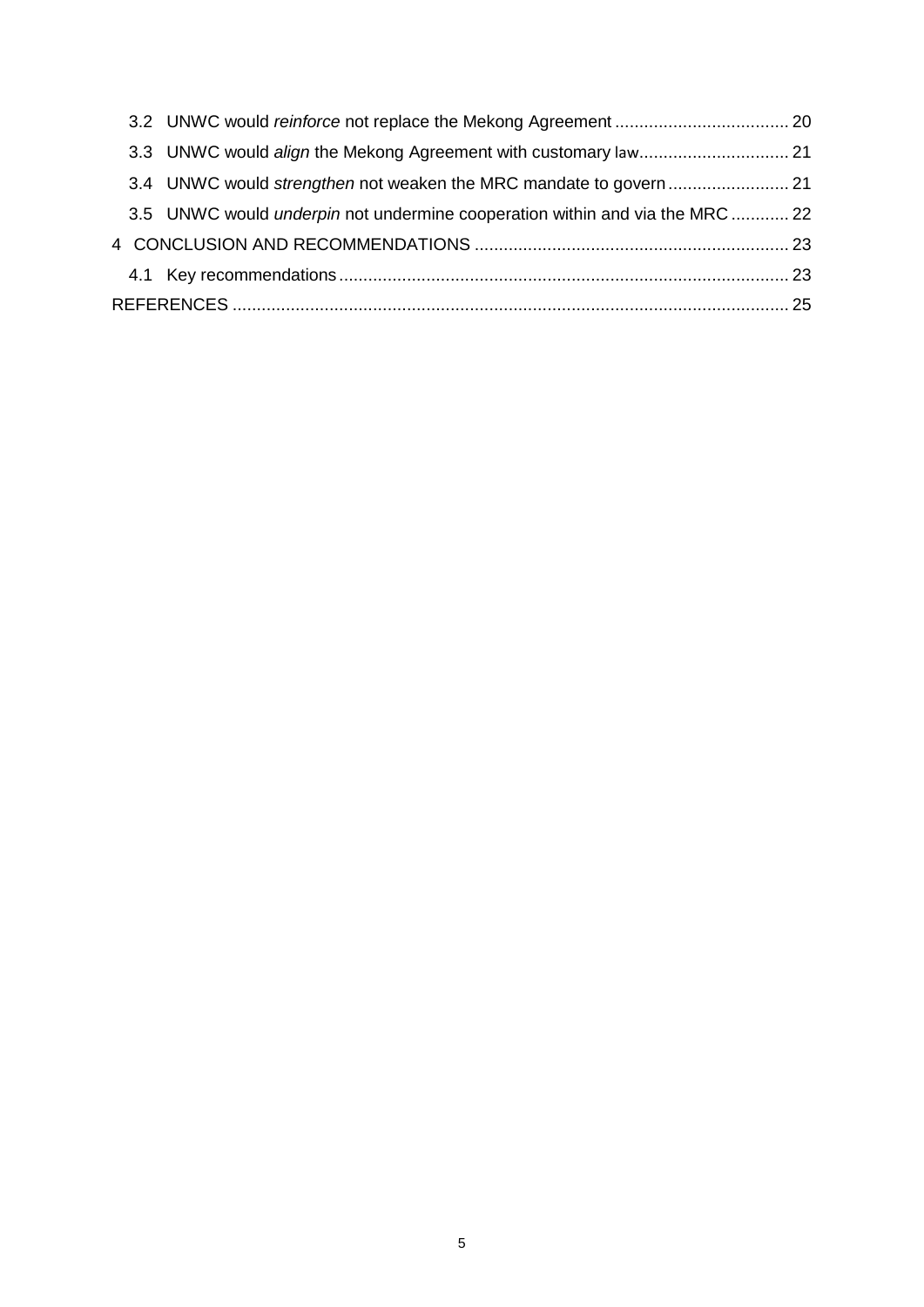| 3.5 UNWC would <i>underpin</i> not undermine cooperation within and via the MRC  22 |  |  |
|-------------------------------------------------------------------------------------|--|--|
|                                                                                     |  |  |
|                                                                                     |  |  |
|                                                                                     |  |  |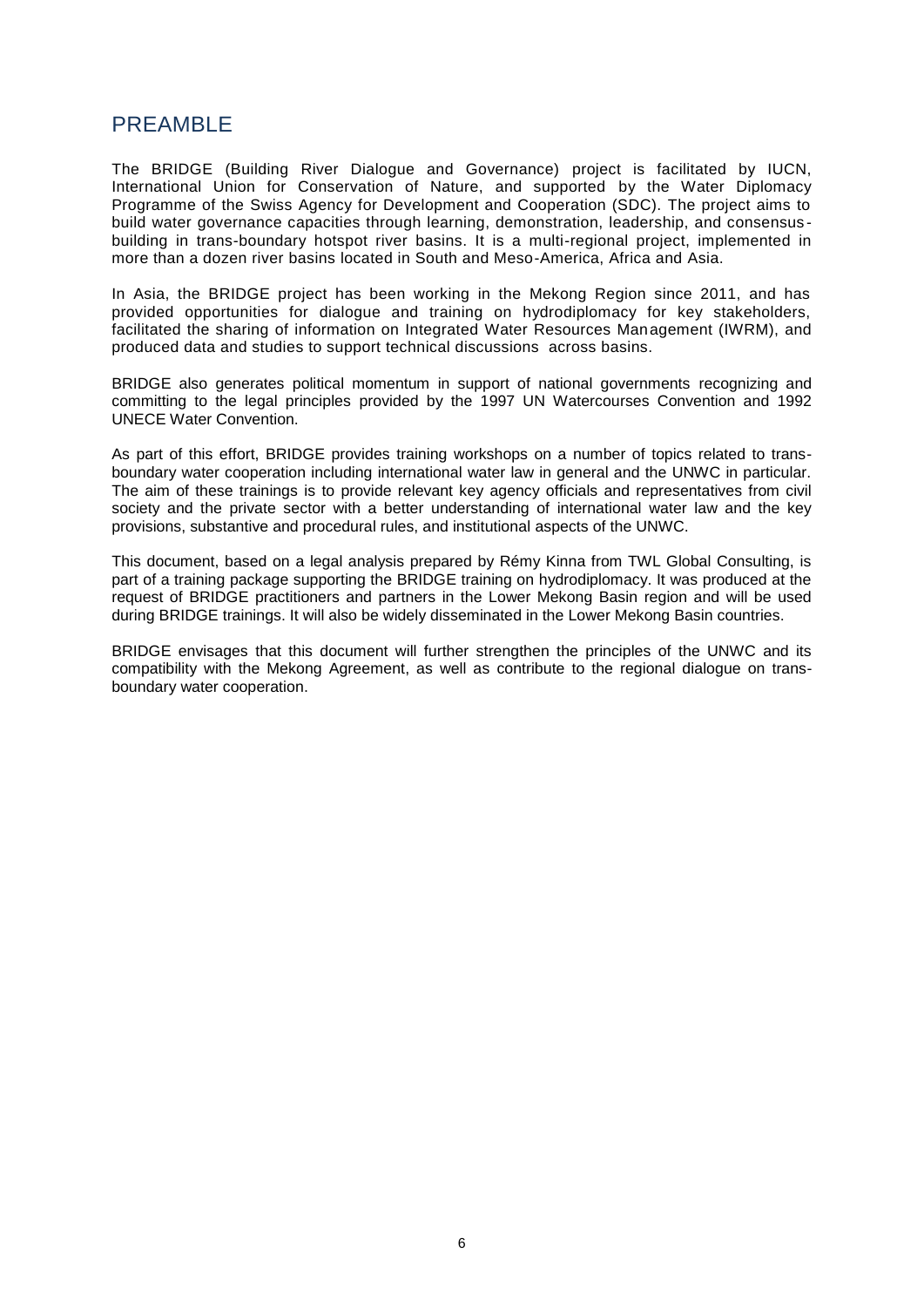# <span id="page-5-0"></span>PREAMBLE

The BRIDGE (Building River Dialogue and Governance) project is facilitated by IUCN, International Union for Conservation of Nature, and supported by the Water Diplomacy Programme of the Swiss Agency for Development and Cooperation (SDC). The project aims to build water governance capacities through learning, demonstration, leadership, and consensus building in trans-boundary hotspot river basins. It is a multi-regional project, implemented in more than a dozen river basins located in South and Meso-America, Africa and Asia.

In Asia, the BRIDGE project has been working in the Mekong Region since 2011, and has provided opportunities for dialogue and training on hydrodiplomacy for key stakeholders, facilitated the sharing of information on Integrated Water Resources Management (IWRM), and produced data and studies to support technical discussions across basins.

BRIDGE also generates political momentum in support of national governments recognizing and committing to the legal principles provided by the 1997 UN Watercourses Convention and 1992 UNECE Water Convention.

As part of this effort, BRIDGE provides training workshops on a number of topics related to transboundary water cooperation including international water law in general and the UNWC in particular. The aim of these trainings is to provide relevant key agency officials and representatives from civil society and the private sector with a better understanding of international water law and the key provisions, substantive and procedural rules, and institutional aspects of the UNWC.

This document, based on a legal analysis prepared by Rémy Kinna from TWL Global Consulting, is part of a training package supporting the BRIDGE training on hydrodiplomacy. It was produced at the request of BRIDGE practitioners and partners in the Lower Mekong Basin region and will be used during BRIDGE trainings. It will also be widely disseminated in the Lower Mekong Basin countries.

BRIDGE envisages that this document will further strengthen the principles of the UNWC and its compatibility with the Mekong Agreement, as well as contribute to the regional dialogue on transboundary water cooperation.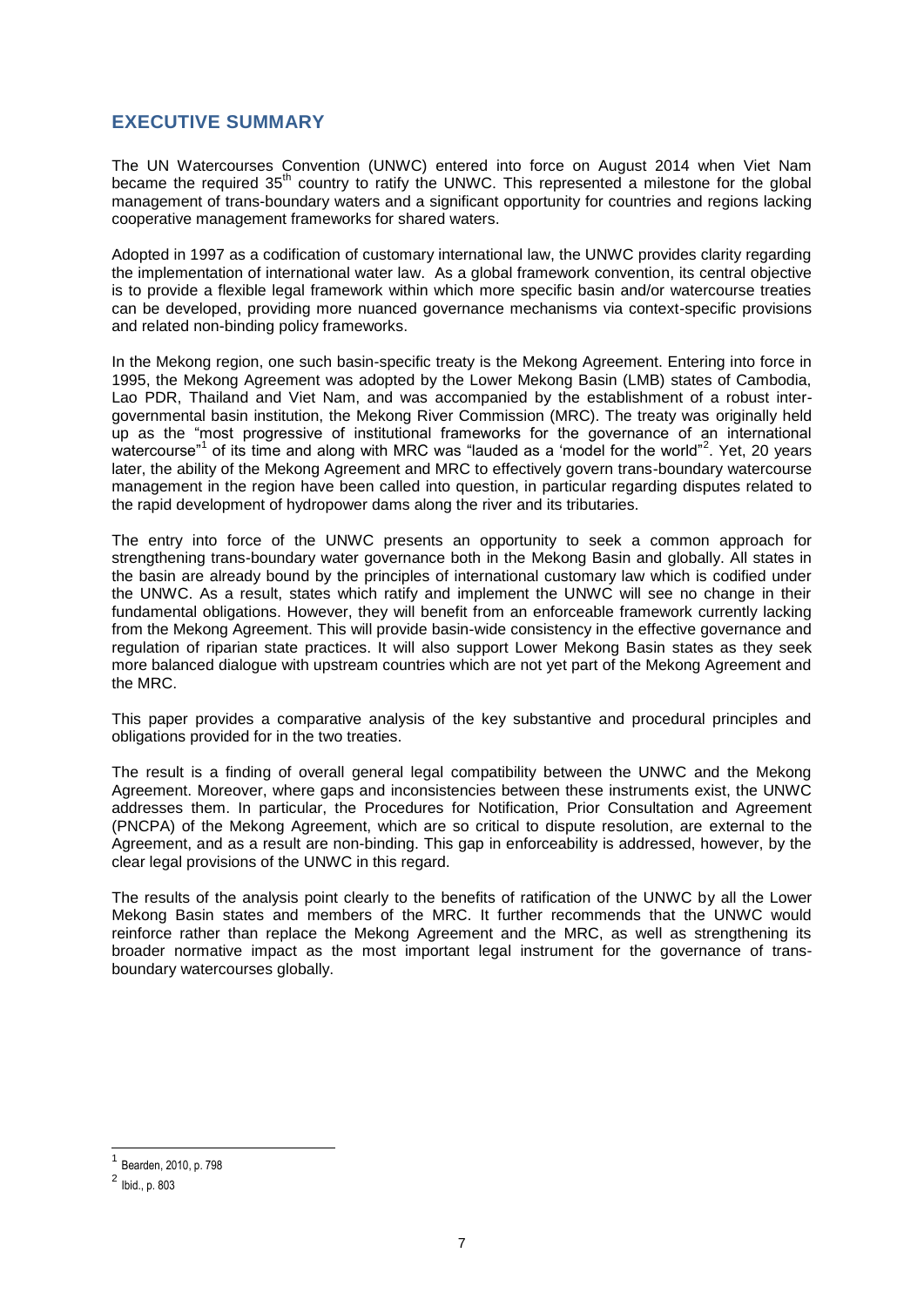### <span id="page-6-0"></span>**EXECUTIVE SUMMARY**

The UN Watercourses Convention (UNWC) entered into force on August 2014 when Viet Nam became the required 35<sup>th</sup> country to ratify the UNWC. This represented a milestone for the global management of trans-boundary waters and a significant opportunity for countries and regions lacking cooperative management frameworks for shared waters.

Adopted in 1997 as a codification of customary international law, the UNWC provides clarity regarding the implementation of international water law. As a global framework convention, its central objective is to provide a flexible legal framework within which more specific basin and/or watercourse treaties can be developed, providing more nuanced governance mechanisms via context-specific provisions and related non-binding policy frameworks.

In the Mekong region, one such basin-specific treaty is the Mekong Agreement. Entering into force in 1995, the Mekong Agreement was adopted by the Lower Mekong Basin (LMB) states of Cambodia, Lao PDR, Thailand and Viet Nam, and was accompanied by the establishment of a robust intergovernmental basin institution, the Mekong River Commission (MRC). The treaty was originally held up as the "most progressive of institutional frameworks for the governance of an international watercourse"<sup>1</sup> of its time and along with MRC was "lauded as a 'model for the world"<sup>2</sup>. Yet, 20 years later, the ability of the Mekong Agreement and MRC to effectively govern trans-boundary watercourse management in the region have been called into question, in particular regarding disputes related to the rapid development of hydropower dams along the river and its tributaries.

The entry into force of the UNWC presents an opportunity to seek a common approach for strengthening trans-boundary water governance both in the Mekong Basin and globally. All states in the basin are already bound by the principles of international customary law which is codified under the UNWC. As a result, states which ratify and implement the UNWC will see no change in their fundamental obligations. However, they will benefit from an enforceable framework currently lacking from the Mekong Agreement. This will provide basin-wide consistency in the effective governance and regulation of riparian state practices. It will also support Lower Mekong Basin states as they seek more balanced dialogue with upstream countries which are not yet part of the Mekong Agreement and the MRC.

This paper provides a comparative analysis of the key substantive and procedural principles and obligations provided for in the two treaties.

The result is a finding of overall general legal compatibility between the UNWC and the Mekong Agreement. Moreover, where gaps and inconsistencies between these instruments exist, the UNWC addresses them. In particular, the Procedures for Notification, Prior Consultation and Agreement (PNCPA) of the Mekong Agreement, which are so critical to dispute resolution, are external to the Agreement, and as a result are non-binding. This gap in enforceability is addressed, however, by the clear legal provisions of the UNWC in this regard.

The results of the analysis point clearly to the benefits of ratification of the UNWC by all the Lower Mekong Basin states and members of the MRC. It further recommends that the UNWC would reinforce rather than replace the Mekong Agreement and the MRC, as well as strengthening its broader normative impact as the most important legal instrument for the governance of transboundary watercourses globally.

-

<sup>1</sup> Bearden, 2010, p. 798

 $^{2}$  Ibid., p. 803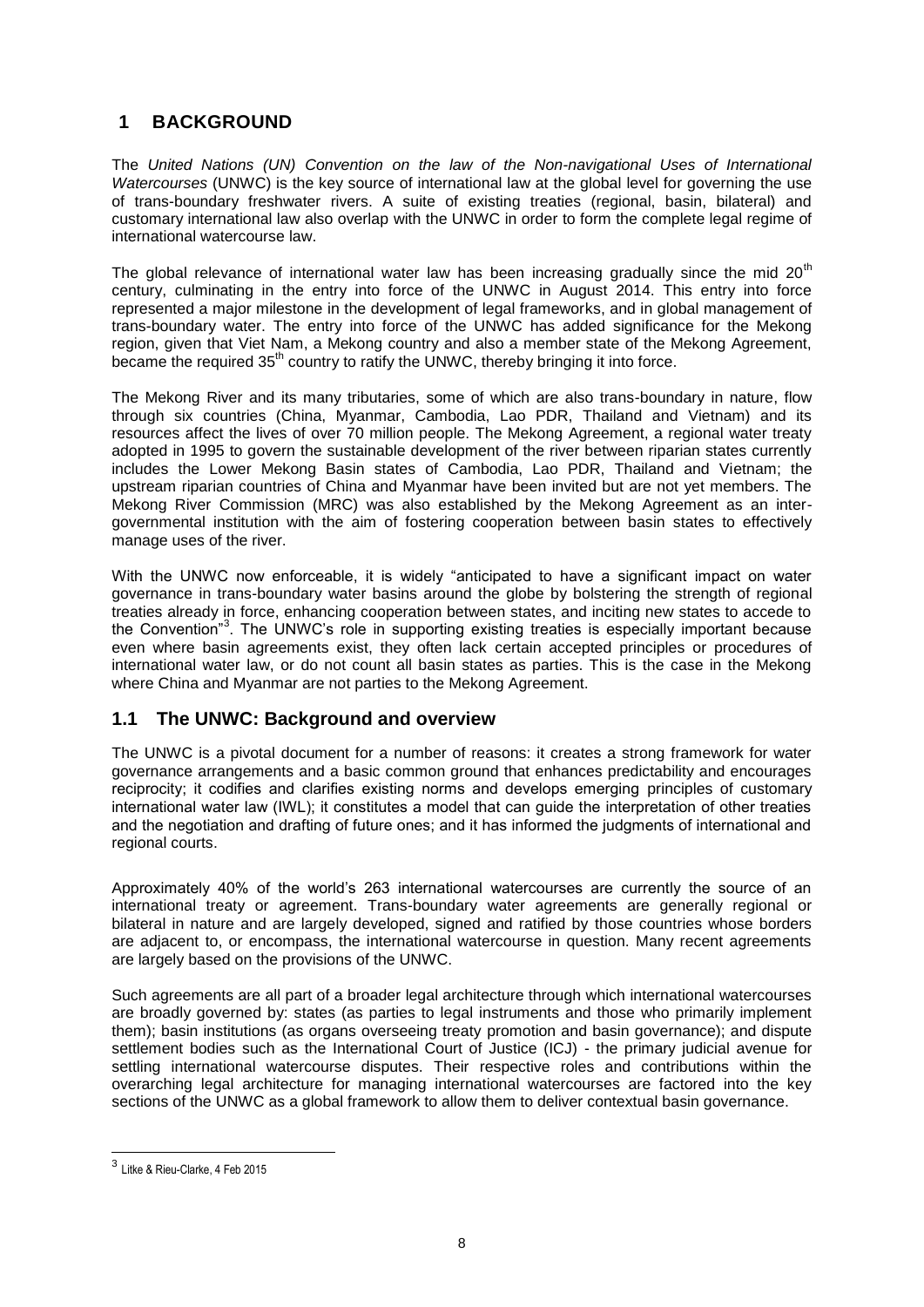# <span id="page-7-0"></span>**1 BACKGROUND**

The *United Nations (UN) Convention on the law of the Non-navigational Uses of International Watercourses* (UNWC) is the key source of international law at the global level for governing the use of trans-boundary freshwater rivers. A suite of existing treaties (regional, basin, bilateral) and customary international law also overlap with the UNWC in order to form the complete legal regime of international watercourse law.

The global relevance of international water law has been increasing gradually since the mid  $20<sup>th</sup>$ century, culminating in the entry into force of the UNWC in August 2014. This entry into force represented a major milestone in the development of legal frameworks, and in global management of trans-boundary water. The entry into force of the UNWC has added significance for the Mekong region, given that Viet Nam, a Mekong country and also a member state of the Mekong Agreement, became the required  $35<sup>th</sup>$  country to ratify the UNWC, thereby bringing it into force.

The Mekong River and its many tributaries, some of which are also trans-boundary in nature, flow through six countries (China, Myanmar, Cambodia, Lao PDR, Thailand and Vietnam) and its resources affect the lives of over 70 million people. The Mekong Agreement, a regional water treaty adopted in 1995 to govern the sustainable development of the river between riparian states currently includes the Lower Mekong Basin states of Cambodia, Lao PDR, Thailand and Vietnam; the upstream riparian countries of China and Myanmar have been invited but are not yet members. The Mekong River Commission (MRC) was also established by the Mekong Agreement as an intergovernmental institution with the aim of fostering cooperation between basin states to effectively manage uses of the river.

With the UNWC now enforceable, it is widely "anticipated to have a significant impact on water governance in trans-boundary water basins around the globe by bolstering the strength of regional treaties already in force, enhancing cooperation between states, and inciting new states to accede to the Convention<sup>"3</sup>. The UNWC's role in supporting existing treaties is especially important because even where basin agreements exist, they often lack certain accepted principles or procedures of international water law, or do not count all basin states as parties. This is the case in the Mekong where China and Myanmar are not parties to the Mekong Agreement.

### <span id="page-7-1"></span>**1.1 The UNWC: Background and overview**

The UNWC is a pivotal document for a number of reasons: it creates a strong framework for water governance arrangements and a basic common ground that enhances predictability and encourages reciprocity; it codifies and clarifies existing norms and develops emerging principles of customary international water law (IWL); it constitutes a model that can guide the interpretation of other treaties and the negotiation and drafting of future ones; and it has informed the judgments of international and regional courts.

Approximately 40% of the world's 263 international watercourses are currently the source of an international treaty or agreement. Trans-boundary water agreements are generally regional or bilateral in nature and are largely developed, signed and ratified by those countries whose borders are adjacent to, or encompass, the international watercourse in question. Many recent agreements are largely based on the provisions of the UNWC.

Such agreements are all part of a broader legal architecture through which international watercourses are broadly governed by: states (as parties to legal instruments and those who primarily implement them); basin institutions (as organs overseeing treaty promotion and basin governance); and dispute settlement bodies such as the International Court of Justice (ICJ) - the primary judicial avenue for settling international watercourse disputes. Their respective roles and contributions within the overarching legal architecture for managing international watercourses are factored into the key sections of the UNWC as a global framework to allow them to deliver contextual basin governance.

 3 Litke & Rieu-Clarke, 4 Feb 2015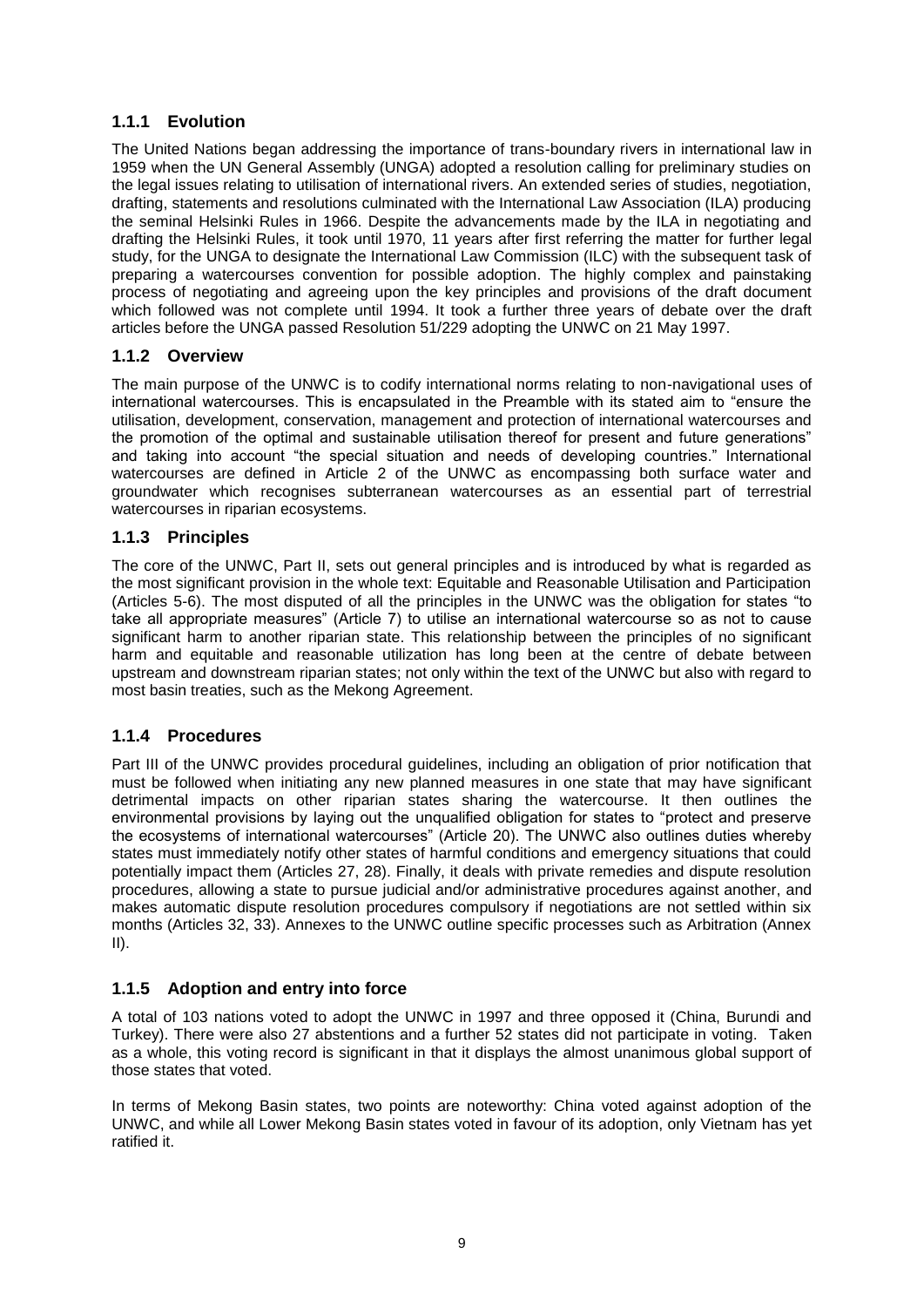### <span id="page-8-0"></span>**1.1.1 Evolution**

The United Nations began addressing the importance of trans-boundary rivers in international law in 1959 when the UN General Assembly (UNGA) adopted a resolution calling for preliminary studies on the legal issues relating to utilisation of international rivers. An extended series of studies, negotiation, drafting, statements and resolutions culminated with the International Law Association (ILA) producing the seminal Helsinki Rules in 1966. Despite the advancements made by the ILA in negotiating and drafting the Helsinki Rules, it took until 1970, 11 years after first referring the matter for further legal study, for the UNGA to designate the International Law Commission (ILC) with the subsequent task of preparing a watercourses convention for possible adoption. The highly complex and painstaking process of negotiating and agreeing upon the key principles and provisions of the draft document which followed was not complete until 1994. It took a further three years of debate over the draft articles before the UNGA passed Resolution 51/229 adopting the UNWC on 21 May 1997.

### <span id="page-8-1"></span>**1.1.2 Overview**

The main purpose of the UNWC is to codify international norms relating to non-navigational uses of international watercourses. This is encapsulated in the Preamble with its stated aim to "ensure the utilisation, development, conservation, management and protection of international watercourses and the promotion of the optimal and sustainable utilisation thereof for present and future generations" and taking into account "the special situation and needs of developing countries." International watercourses are defined in Article 2 of the UNWC as encompassing both surface water and groundwater which recognises subterranean watercourses as an essential part of terrestrial watercourses in riparian ecosystems.

### <span id="page-8-2"></span>**1.1.3 Principles**

The core of the UNWC, Part II, sets out general principles and is introduced by what is regarded as the most significant provision in the whole text: Equitable and Reasonable Utilisation and Participation (Articles 5-6). The most disputed of all the principles in the UNWC was the obligation for states "to take all appropriate measures" (Article 7) to utilise an international watercourse so as not to cause significant harm to another riparian state. This relationship between the principles of no significant harm and equitable and reasonable utilization has long been at the centre of debate between upstream and downstream riparian states; not only within the text of the UNWC but also with regard to most basin treaties, such as the Mekong Agreement.

### <span id="page-8-3"></span>**1.1.4 Procedures**

Part III of the UNWC provides procedural guidelines, including an obligation of prior notification that must be followed when initiating any new planned measures in one state that may have significant detrimental impacts on other riparian states sharing the watercourse. It then outlines the environmental provisions by laying out the unqualified obligation for states to "protect and preserve the ecosystems of international watercourses" (Article 20). The UNWC also outlines duties whereby states must immediately notify other states of harmful conditions and emergency situations that could potentially impact them (Articles 27, 28). Finally, it deals with private remedies and dispute resolution procedures, allowing a state to pursue judicial and/or administrative procedures against another, and makes automatic dispute resolution procedures compulsory if negotiations are not settled within six months (Articles 32, 33). Annexes to the UNWC outline specific processes such as Arbitration (Annex  $II$ ).

### <span id="page-8-4"></span>**1.1.5 Adoption and entry into force**

A total of 103 nations voted to adopt the UNWC in 1997 and three opposed it (China, Burundi and Turkey). There were also 27 abstentions and a further 52 states did not participate in voting. Taken as a whole, this voting record is significant in that it displays the almost unanimous global support of those states that voted.

In terms of Mekong Basin states, two points are noteworthy: China voted against adoption of the UNWC, and while all Lower Mekong Basin states voted in favour of its adoption, only Vietnam has yet ratified it.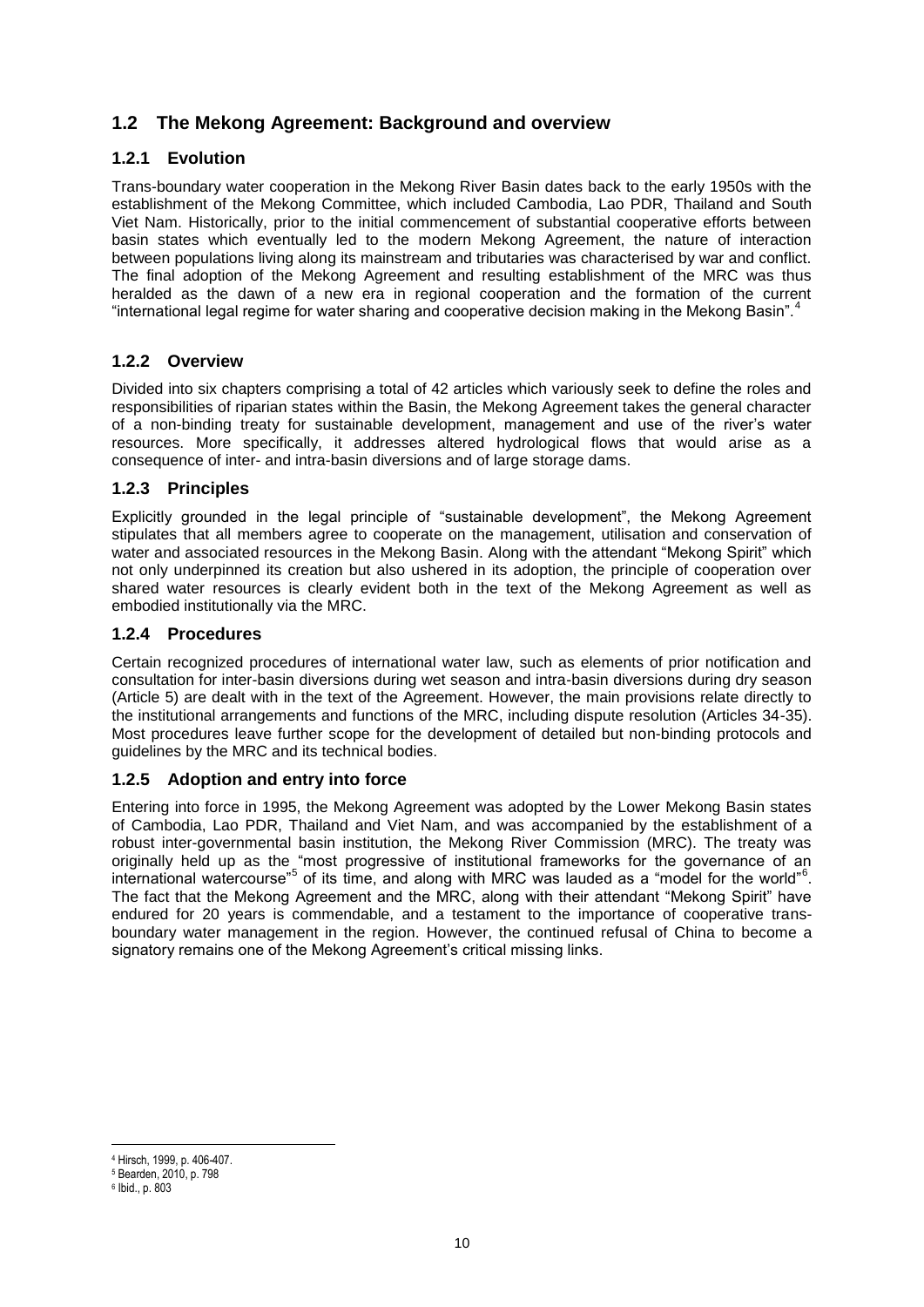# <span id="page-9-0"></span>**1.2 The Mekong Agreement: Background and overview**

### <span id="page-9-1"></span>**1.2.1 Evolution**

Trans-boundary water cooperation in the Mekong River Basin dates back to the early 1950s with the establishment of the Mekong Committee, which included Cambodia, Lao PDR, Thailand and South Viet Nam. Historically, prior to the initial commencement of substantial cooperative efforts between basin states which eventually led to the modern Mekong Agreement, the nature of interaction between populations living along its mainstream and tributaries was characterised by war and conflict. The final adoption of the Mekong Agreement and resulting establishment of the MRC was thus heralded as the dawn of a new era in regional cooperation and the formation of the current "international legal regime for water sharing and cooperative decision making in the Mekong Basin".<sup>4</sup>

#### <span id="page-9-2"></span>**1.2.2 Overview**

Divided into six chapters comprising a total of 42 articles which variously seek to define the roles and responsibilities of riparian states within the Basin, the Mekong Agreement takes the general character of a non-binding treaty for sustainable development, management and use of the river's water resources. More specifically, it addresses altered hydrological flows that would arise as a consequence of inter- and intra-basin diversions and of large storage dams.

#### <span id="page-9-3"></span>**1.2.3 Principles**

Explicitly grounded in the legal principle of "sustainable development", the Mekong Agreement stipulates that all members agree to cooperate on the management, utilisation and conservation of water and associated resources in the Mekong Basin. Along with the attendant "Mekong Spirit" which not only underpinned its creation but also ushered in its adoption, the principle of cooperation over shared water resources is clearly evident both in the text of the Mekong Agreement as well as embodied institutionally via the MRC.

#### <span id="page-9-4"></span>**1.2.4 Procedures**

Certain recognized procedures of international water law, such as elements of prior notification and consultation for inter-basin diversions during wet season and intra-basin diversions during dry season (Article 5) are dealt with in the text of the Agreement. However, the main provisions relate directly to the institutional arrangements and functions of the MRC, including dispute resolution (Articles 34-35). Most procedures leave further scope for the development of detailed but non-binding protocols and guidelines by the MRC and its technical bodies.

### <span id="page-9-5"></span>**1.2.5 Adoption and entry into force**

Entering into force in 1995, the Mekong Agreement was adopted by the Lower Mekong Basin states of Cambodia, Lao PDR, Thailand and Viet Nam, and was accompanied by the establishment of a robust inter-governmental basin institution, the Mekong River Commission (MRC). The treaty was originally held up as the "most progressive of institutional frameworks for the governance of an international watercourse"<sup>5</sup> of its time, and along with MRC was lauded as a "model for the world"<sup>6</sup>. The fact that the Mekong Agreement and the MRC, along with their attendant "Mekong Spirit" have endured for 20 years is commendable, and a testament to the importance of cooperative transboundary water management in the region. However, the continued refusal of China to become a signatory remains one of the Mekong Agreement's critical missing links.

-

<sup>4</sup> Hirsch, 1999, p. 406-407.

<sup>5</sup> Bearden, 2010, p. 798

<sup>6</sup> Ibid., p. 803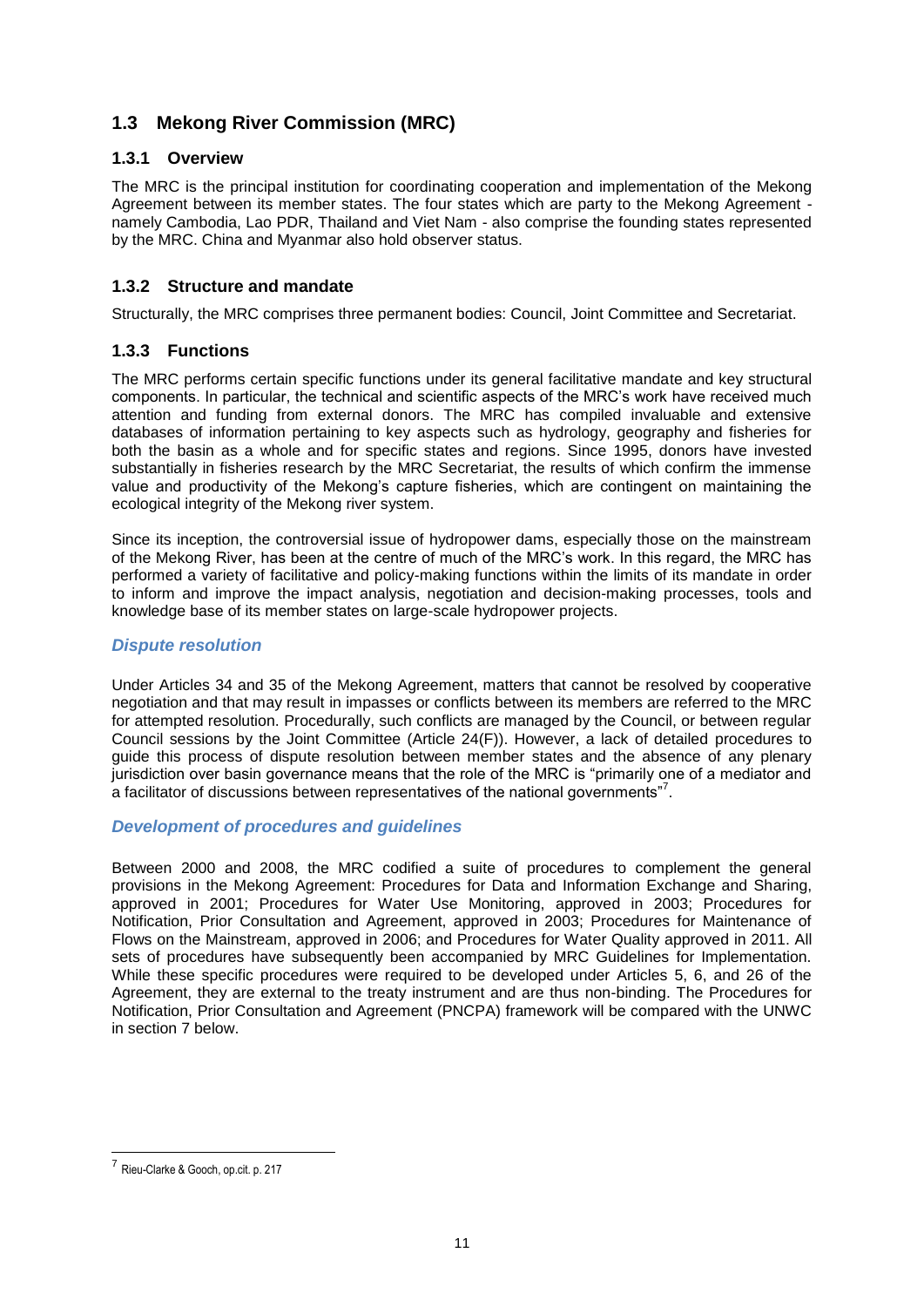# <span id="page-10-0"></span>**1.3 Mekong River Commission (MRC)**

### <span id="page-10-1"></span>**1.3.1 Overview**

The MRC is the principal institution for coordinating cooperation and implementation of the Mekong Agreement between its member states. The four states which are party to the Mekong Agreement namely Cambodia, Lao PDR, Thailand and Viet Nam - also comprise the founding states represented by the MRC. China and Myanmar also hold observer status.

### <span id="page-10-2"></span>**1.3.2 Structure and mandate**

Structurally, the MRC comprises three permanent bodies: Council, Joint Committee and Secretariat.

### <span id="page-10-3"></span>**1.3.3 Functions**

The MRC performs certain specific functions under its general facilitative mandate and key structural components. In particular, the technical and scientific aspects of the MRC's work have received much attention and funding from external donors. The MRC has compiled invaluable and extensive databases of information pertaining to key aspects such as hydrology, geography and fisheries for both the basin as a whole and for specific states and regions. Since 1995, donors have invested substantially in fisheries research by the MRC Secretariat, the results of which confirm the immense value and productivity of the Mekong's capture fisheries, which are contingent on maintaining the ecological integrity of the Mekong river system.

Since its inception, the controversial issue of hydropower dams, especially those on the mainstream of the Mekong River, has been at the centre of much of the MRC's work. In this regard, the MRC has performed a variety of facilitative and policy-making functions within the limits of its mandate in order to inform and improve the impact analysis, negotiation and decision-making processes, tools and knowledge base of its member states on large-scale hydropower projects.

### *Dispute resolution*

Under Articles 34 and 35 of the Mekong Agreement, matters that cannot be resolved by cooperative negotiation and that may result in impasses or conflicts between its members are referred to the MRC for attempted resolution. Procedurally, such conflicts are managed by the Council, or between regular Council sessions by the Joint Committee (Article 24(F)). However, a lack of detailed procedures to guide this process of dispute resolution between member states and the absence of any plenary jurisdiction over basin governance means that the role of the MRC is "primarily one of a mediator and a facilitator of discussions between representatives of the national governments"<sup>7</sup>.

### *Development of procedures and guidelines*

Between 2000 and 2008, the MRC codified a suite of procedures to complement the general provisions in the Mekong Agreement: Procedures for Data and Information Exchange and Sharing, approved in 2001; Procedures for Water Use Monitoring, approved in 2003; Procedures for Notification, Prior Consultation and Agreement, approved in 2003; Procedures for Maintenance of Flows on the Mainstream, approved in 2006; and Procedures for Water Quality approved in 2011. All sets of procedures have subsequently been accompanied by MRC Guidelines for Implementation. While these specific procedures were required to be developed under Articles 5, 6, and 26 of the Agreement, they are external to the treaty instrument and are thus non-binding. The Procedures for Notification, Prior Consultation and Agreement (PNCPA) framework will be compared with the UNWC in section 7 below.

 7 Rieu-Clarke & Gooch, op.cit. p. 217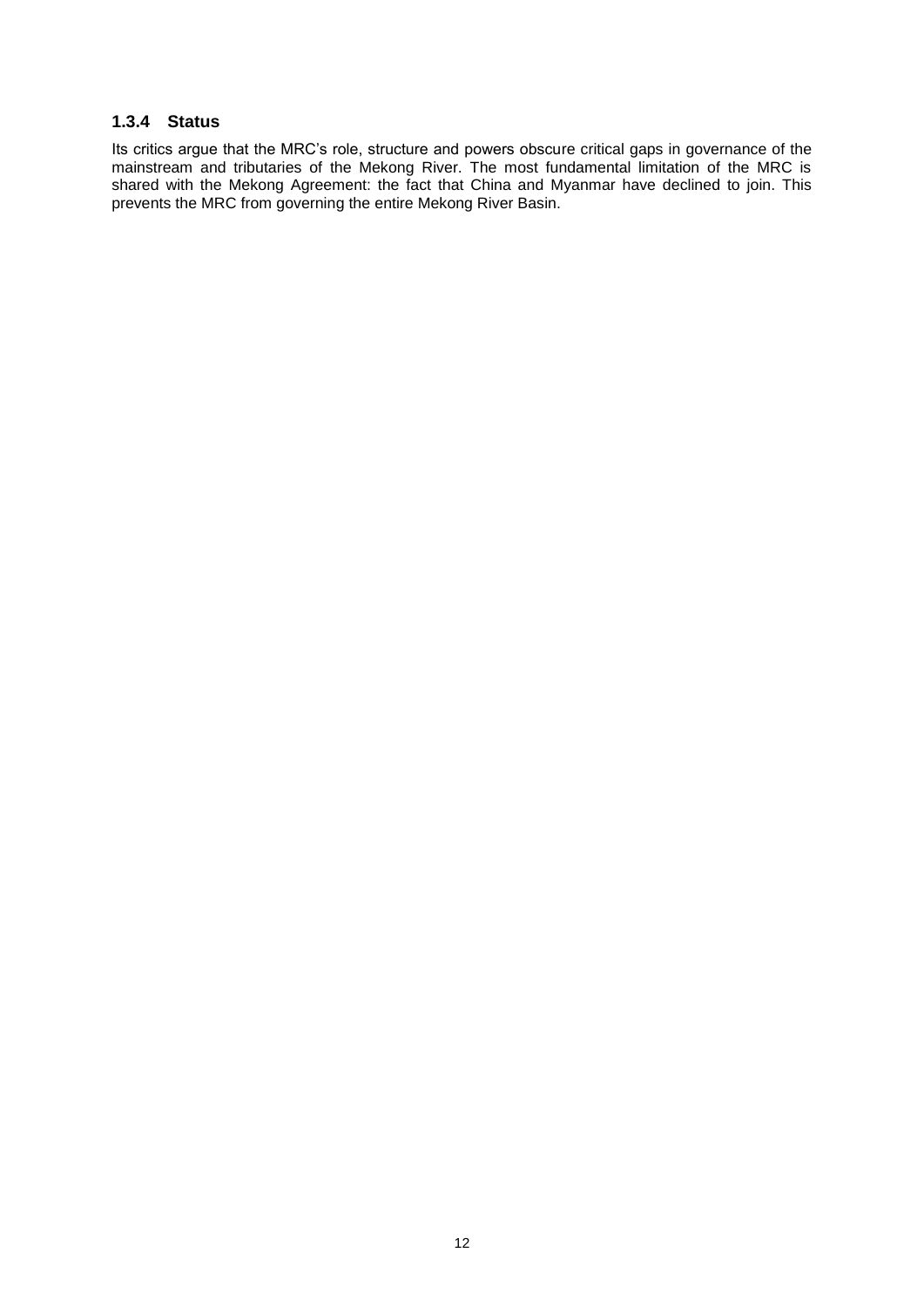#### <span id="page-11-0"></span>**1.3.4 Status**

Its critics argue that the MRC's role, structure and powers obscure critical gaps in governance of the mainstream and tributaries of the Mekong River. The most fundamental limitation of the MRC is shared with the Mekong Agreement: the fact that China and Myanmar have declined to join. This prevents the MRC from governing the entire Mekong River Basin.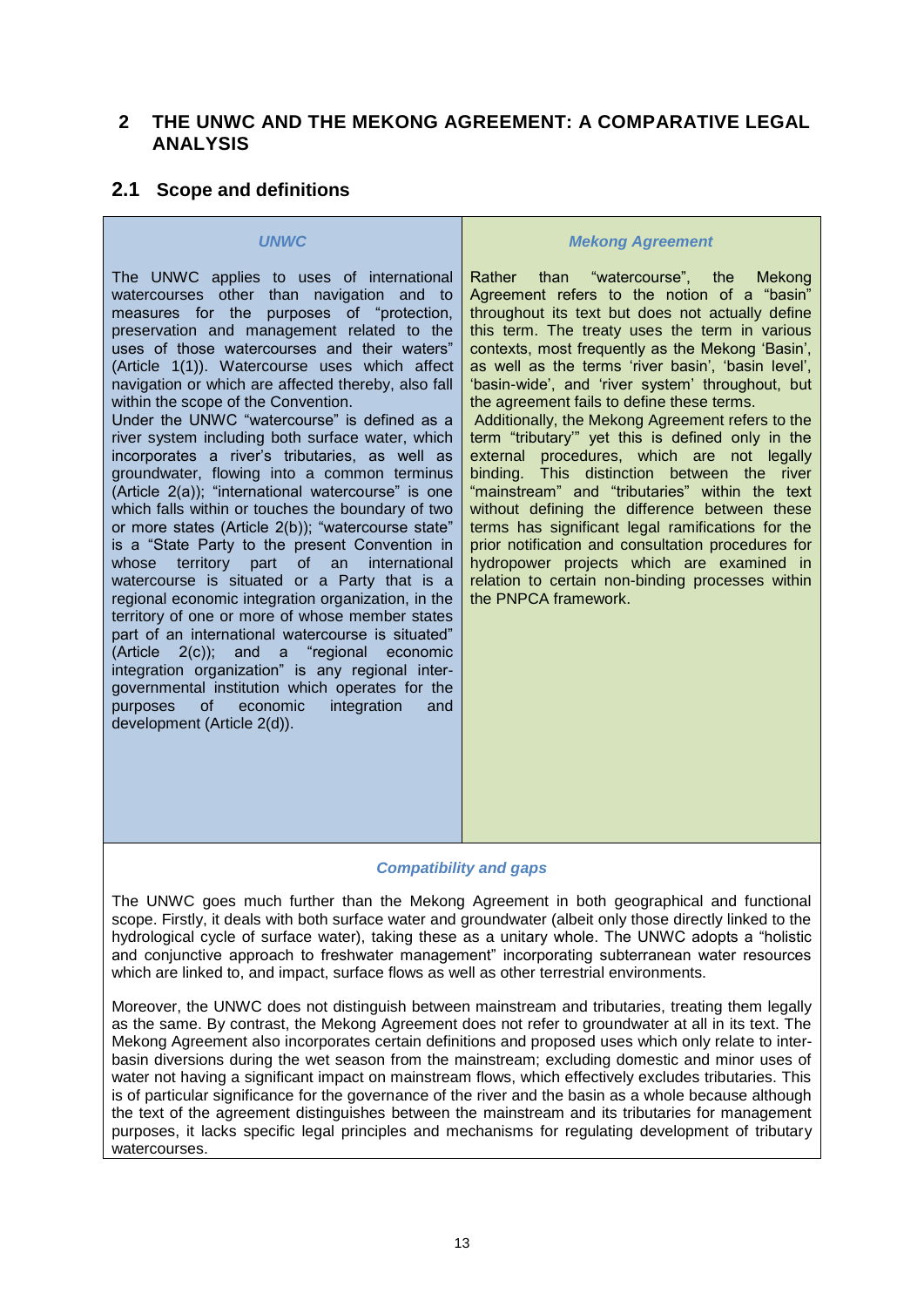### <span id="page-12-0"></span>**2 THE UNWC AND THE MEKONG AGREEMENT: A COMPARATIVE LEGAL ANALYSIS**

### <span id="page-12-1"></span>**2.1 Scope and definitions**

#### *UNWC*

The UNWC applies to uses of international watercourses other than navigation and to measures for the purposes of "protection, preservation and management related to the uses of those watercourses and their waters" (Article 1(1)). Watercourse uses which affect navigation or which are affected thereby, also fall within the scope of the Convention.

Under the UNWC "watercourse" is defined as a river system including both surface water, which incorporates a river's tributaries, as well as groundwater, flowing into a common terminus (Article 2(a)); "international watercourse" is one which falls within or touches the boundary of two or more states (Article 2(b)); "watercourse state" is a "State Party to the present Convention in whose territory part of an international watercourse is situated or a Party that is a regional economic integration organization, in the territory of one or more of whose member states part of an international watercourse is situated" (Article 2(c)); and a "regional economic integration organization" is any regional intergovernmental institution which operates for the purposes of economic integration and development (Article 2(d)).

#### *Mekong Agreement*

Rather than "watercourse", the Mekong Agreement refers to the notion of a "basin" throughout its text but does not actually define this term. The treaty uses the term in various contexts, most frequently as the Mekong 'Basin', as well as the terms 'river basin', 'basin level', 'basin-wide', and 'river system' throughout, but the agreement fails to define these terms.

Additionally, the Mekong Agreement refers to the term "tributary'" yet this is defined only in the external procedures, which are not legally binding. This distinction between the river "mainstream" and "tributaries" within the text without defining the difference between these terms has significant legal ramifications for the prior notification and consultation procedures for hydropower projects which are examined in relation to certain non-binding processes within the PNPCA framework.

#### *Compatibility and gaps*

The UNWC goes much further than the Mekong Agreement in both geographical and functional scope. Firstly, it deals with both surface water and groundwater (albeit only those directly linked to the hydrological cycle of surface water), taking these as a unitary whole. The UNWC adopts a "holistic and conjunctive approach to freshwater management" incorporating subterranean water resources which are linked to, and impact, surface flows as well as other terrestrial environments.

Moreover, the UNWC does not distinguish between mainstream and tributaries, treating them legally as the same. By contrast, the Mekong Agreement does not refer to groundwater at all in its text. The Mekong Agreement also incorporates certain definitions and proposed uses which only relate to interbasin diversions during the wet season from the mainstream; excluding domestic and minor uses of water not having a significant impact on mainstream flows, which effectively excludes tributaries. This is of particular significance for the governance of the river and the basin as a whole because although the text of the agreement distinguishes between the mainstream and its tributaries for management purposes, it lacks specific legal principles and mechanisms for regulating development of tributary watercourses.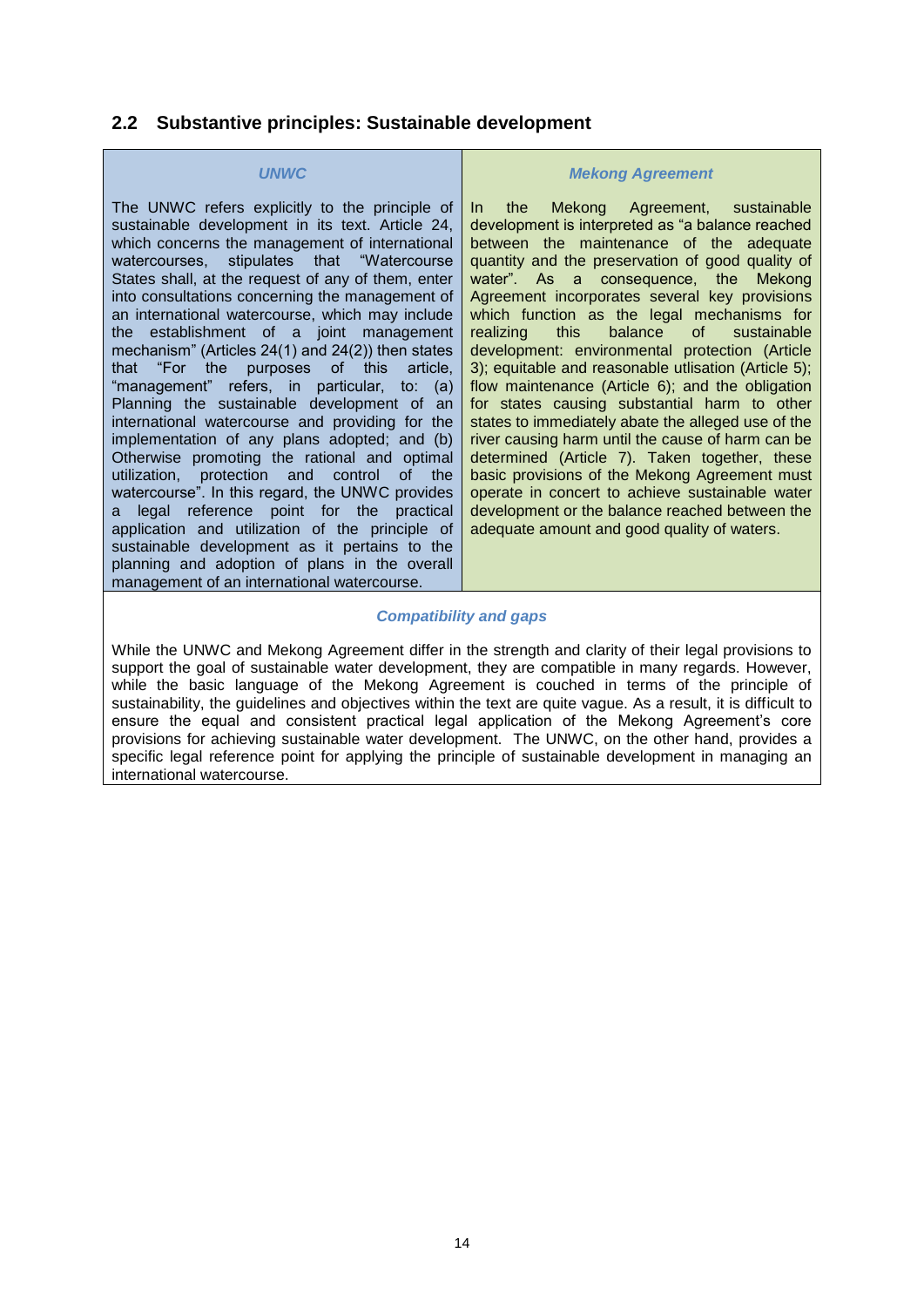### <span id="page-13-0"></span>**2.2 Substantive principles: Sustainable development**

#### *UNWC*

The UNWC refers explicitly to the principle of sustainable development in its text. Article 24, which concerns the management of international watercourses, stipulates that "Watercourse States shall, at the request of any of them, enter into consultations concerning the management of an international watercourse, which may include the establishment of a joint management mechanism" (Articles 24(1) and 24(2)) then states that "For the purposes of this article, "management" refers, in particular, to: (a) Planning the sustainable development of an international watercourse and providing for the implementation of any plans adopted; and (b) Otherwise promoting the rational and optimal utilization, protection and control of the watercourse". In this regard, the UNWC provides a legal reference point for the practical application and utilization of the principle of sustainable development as it pertains to the planning and adoption of plans in the overall management of an international watercourse.

#### *Mekong Agreement*

In the Mekong Agreement, sustainable development is interpreted as "a balance reached between the maintenance of the adequate quantity and the preservation of good quality of water". As a consequence, the Mekong Agreement incorporates several key provisions which function as the legal mechanisms for realizing this balance of sustainable development: environmental protection (Article 3); equitable and reasonable utlisation (Article 5); flow maintenance (Article 6); and the obligation for states causing substantial harm to other states to immediately abate the alleged use of the river causing harm until the cause of harm can be determined (Article 7). Taken together, these basic provisions of the Mekong Agreement must operate in concert to achieve sustainable water development or the balance reached between the adequate amount and good quality of waters.

#### *Compatibility and gaps*

While the UNWC and Mekong Agreement differ in the strength and clarity of their legal provisions to support the goal of sustainable water development, they are compatible in many regards. However, while the basic language of the Mekong Agreement is couched in terms of the principle of sustainability, the guidelines and objectives within the text are quite vague. As a result, it is difficult to ensure the equal and consistent practical legal application of the Mekong Agreement's core provisions for achieving sustainable water development. The UNWC, on the other hand, provides a specific legal reference point for applying the principle of sustainable development in managing an international watercourse.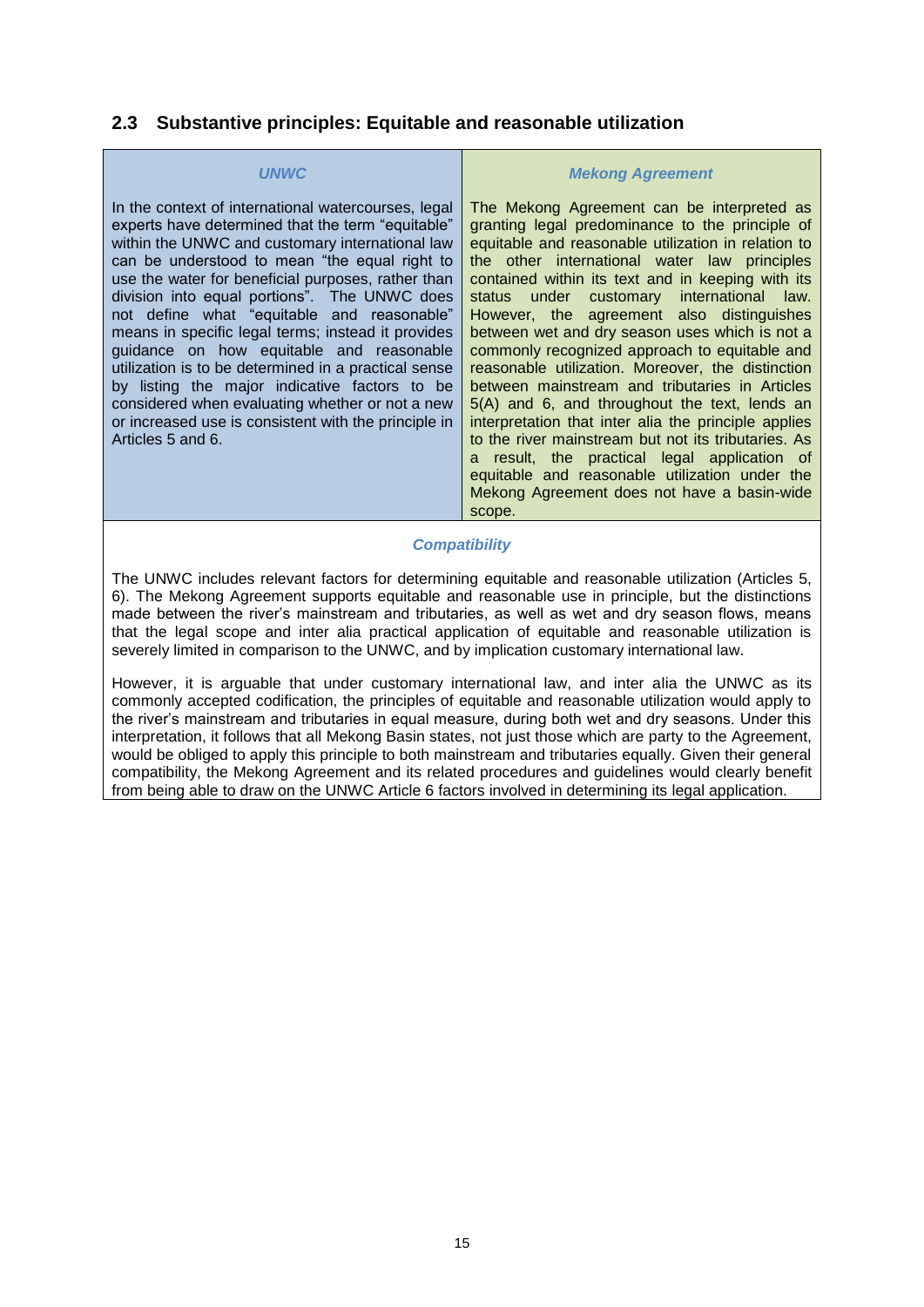### <span id="page-14-0"></span>**2.3 Substantive principles: Equitable and reasonable utilization**

#### *UNWC*

In the context of international watercourses, legal experts have determined that the term "equitable" within the UNWC and customary international law can be understood to mean "the equal right to use the water for beneficial purposes, rather than division into equal portions". The UNWC does not define what "equitable and reasonable" means in specific legal terms; instead it provides guidance on how equitable and reasonable utilization is to be determined in a practical sense by listing the major indicative factors to be considered when evaluating whether or not a new or increased use is consistent with the principle in Articles 5 and 6.

#### *Mekong Agreement*

The Mekong Agreement can be interpreted as granting legal predominance to the principle of equitable and reasonable utilization in relation to the other international water law principles contained within its text and in keeping with its status under customary international law. However, the agreement also distinguishes between wet and dry season uses which is not a commonly recognized approach to equitable and reasonable utilization. Moreover, the distinction between mainstream and tributaries in Articles 5(A) and 6, and throughout the text, lends an interpretation that inter alia the principle applies to the river mainstream but not its tributaries. As a result, the practical legal application of equitable and reasonable utilization under the Mekong Agreement does not have a basin-wide scope.

#### *Compatibility*

The UNWC includes relevant factors for determining equitable and reasonable utilization (Articles 5, 6). The Mekong Agreement supports equitable and reasonable use in principle, but the distinctions made between the river's mainstream and tributaries, as well as wet and dry season flows, means that the legal scope and inter alia practical application of equitable and reasonable utilization is severely limited in comparison to the UNWC, and by implication customary international law.

However, it is arguable that under customary international law, and inter alia the UNWC as its commonly accepted codification, the principles of equitable and reasonable utilization would apply to the river's mainstream and tributaries in equal measure, during both wet and dry seasons. Under this interpretation, it follows that all Mekong Basin states, not just those which are party to the Agreement, would be obliged to apply this principle to both mainstream and tributaries equally. Given their general compatibility, the Mekong Agreement and its related procedures and guidelines would clearly benefit from being able to draw on the UNWC Article 6 factors involved in determining its legal application.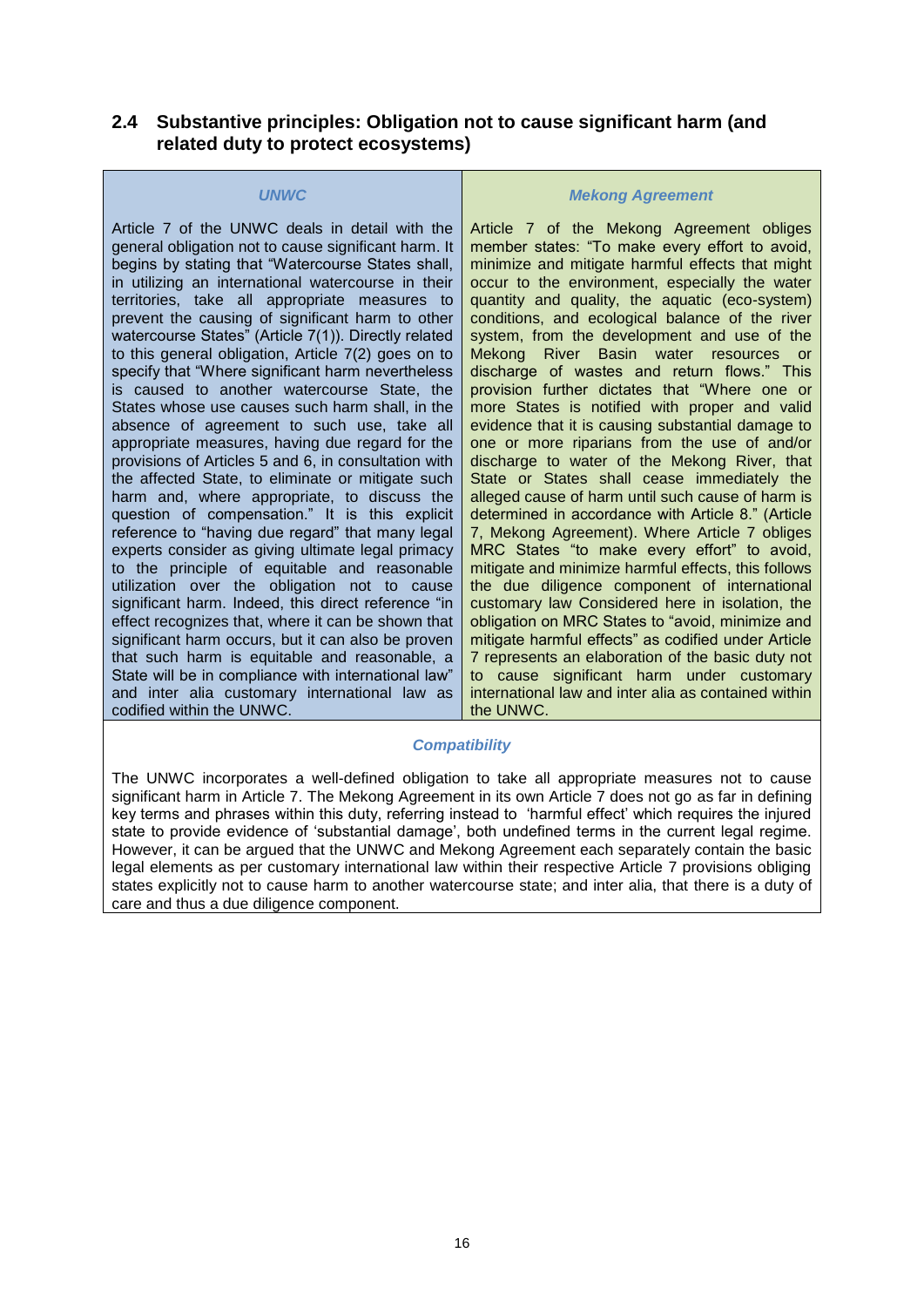### <span id="page-15-0"></span>**2.4 Substantive principles: Obligation not to cause significant harm (and related duty to protect ecosystems)**

#### *UNWC*

Article 7 of the UNWC deals in detail with the general obligation not to cause significant harm. It begins by stating that "Watercourse States shall, in utilizing an international watercourse in their territories, take all appropriate measures to prevent the causing of significant harm to other watercourse States" (Article 7(1)). Directly related to this general obligation, Article 7(2) goes on to specify that "Where significant harm nevertheless is caused to another watercourse State, the States whose use causes such harm shall, in the absence of agreement to such use, take all appropriate measures, having due regard for the provisions of Articles 5 and 6, in consultation with the affected State, to eliminate or mitigate such harm and, where appropriate, to discuss the question of compensation." It is this explicit reference to "having due regard" that many legal experts consider as giving ultimate legal primacy to the principle of equitable and reasonable utilization over the obligation not to cause significant harm. Indeed, this direct reference "in effect recognizes that, where it can be shown that significant harm occurs, but it can also be proven that such harm is equitable and reasonable, a State will be in compliance with international law" and inter alia customary international law as codified within the UNWC.

#### *Mekong Agreement*

Article 7 of the Mekong Agreement obliges member states: "To make every effort to avoid, minimize and mitigate harmful effects that might occur to the environment, especially the water quantity and quality, the aquatic (eco-system) conditions, and ecological balance of the river system, from the development and use of the Mekong River Basin water resources or discharge of wastes and return flows." This provision further dictates that "Where one or more States is notified with proper and valid evidence that it is causing substantial damage to one or more riparians from the use of and/or discharge to water of the Mekong River, that State or States shall cease immediately the alleged cause of harm until such cause of harm is determined in accordance with Article 8." (Article 7, Mekong Agreement). Where Article 7 obliges MRC States "to make every effort" to avoid, mitigate and minimize harmful effects, this follows the due diligence component of international customary law Considered here in isolation, the obligation on MRC States to "avoid, minimize and mitigate harmful effects" as codified under Article 7 represents an elaboration of the basic duty not to cause significant harm under customary international law and inter alia as contained within the UNWC.

#### *Compatibility*

The UNWC incorporates a well-defined obligation to take all appropriate measures not to cause significant harm in Article 7. The Mekong Agreement in its own Article 7 does not go as far in defining key terms and phrases within this duty, referring instead to 'harmful effect' which requires the injured state to provide evidence of 'substantial damage', both undefined terms in the current legal regime. However, it can be argued that the UNWC and Mekong Agreement each separately contain the basic legal elements as per customary international law within their respective Article 7 provisions obliging states explicitly not to cause harm to another watercourse state; and inter alia, that there is a duty of care and thus a due diligence component.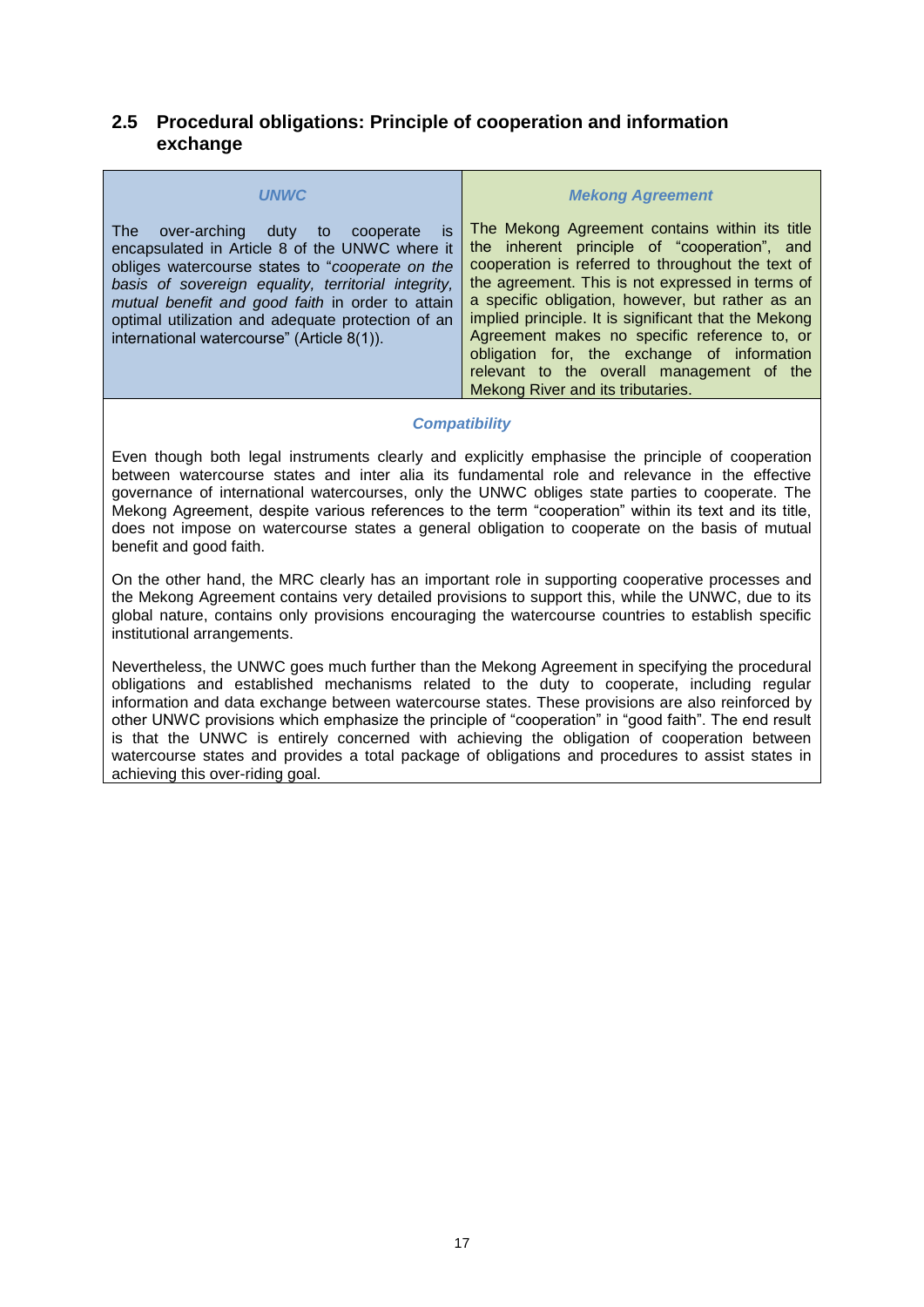### <span id="page-16-0"></span>**2.5 Procedural obligations: Principle of cooperation and information exchange**

| <b>IJNWC</b>                                                                                                                                                                                                                                                                                                                                                            | <b>Mekong Agreement</b>                                                                                                                                                                                                                                                                                                                                                                                                                                                                              |
|-------------------------------------------------------------------------------------------------------------------------------------------------------------------------------------------------------------------------------------------------------------------------------------------------------------------------------------------------------------------------|------------------------------------------------------------------------------------------------------------------------------------------------------------------------------------------------------------------------------------------------------------------------------------------------------------------------------------------------------------------------------------------------------------------------------------------------------------------------------------------------------|
| The l<br>over-arching<br>duty to<br>is.<br>cooperate<br>encapsulated in Article 8 of the UNWC where it<br>obliges watercourse states to "cooperate on the<br>basis of sovereign equality, territorial integrity,<br>mutual benefit and good faith in order to attain<br>optimal utilization and adequate protection of an<br>international watercourse" (Article 8(1)). | The Mekong Agreement contains within its title<br>the inherent principle of "cooperation", and<br>cooperation is referred to throughout the text of<br>the agreement. This is not expressed in terms of<br>a specific obligation, however, but rather as an<br>implied principle. It is significant that the Mekong<br>Agreement makes no specific reference to, or<br>obligation for, the exchange of information<br>relevant to the overall management of the<br>Mekong River and its tributaries. |

#### *Compatibility*

Even though both legal instruments clearly and explicitly emphasise the principle of cooperation between watercourse states and inter alia its fundamental role and relevance in the effective governance of international watercourses, only the UNWC obliges state parties to cooperate. The Mekong Agreement, despite various references to the term "cooperation" within its text and its title, does not impose on watercourse states a general obligation to cooperate on the basis of mutual benefit and good faith.

On the other hand, the MRC clearly has an important role in supporting cooperative processes and the Mekong Agreement contains very detailed provisions to support this, while the UNWC, due to its global nature, contains only provisions encouraging the watercourse countries to establish specific institutional arrangements.

Nevertheless, the UNWC goes much further than the Mekong Agreement in specifying the procedural obligations and established mechanisms related to the duty to cooperate, including regular information and data exchange between watercourse states. These provisions are also reinforced by other UNWC provisions which emphasize the principle of "cooperation" in "good faith". The end result is that the UNWC is entirely concerned with achieving the obligation of cooperation between watercourse states and provides a total package of obligations and procedures to assist states in achieving this over-riding goal.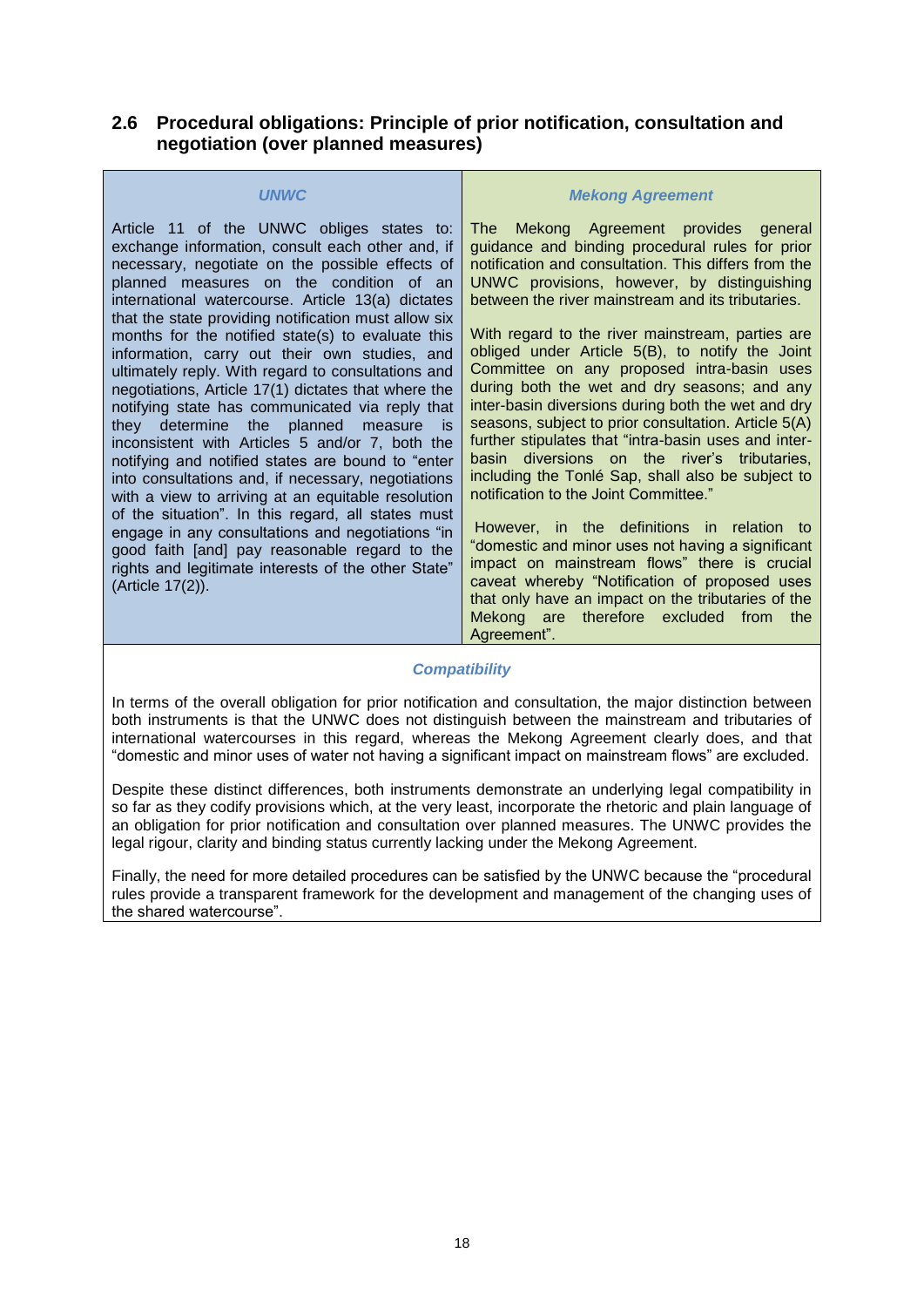### <span id="page-17-0"></span>**2.6 Procedural obligations: Principle of prior notification, consultation and negotiation (over planned measures)**

| <b>UNWC</b>                                                                                                                                                                                                                                                                                                                                                                                                                                                                                                                                                                                                                                                                                                                                                                                                                                                                                                                                                                                                                                                                                      | <b>Mekong Agreement</b>                                                                                                                                                                                                                                                                                                                                                                                                                                                                                                                                                                                                                                                                                                                                                                                                                                                                                                                                                                                                                                                                                        |
|--------------------------------------------------------------------------------------------------------------------------------------------------------------------------------------------------------------------------------------------------------------------------------------------------------------------------------------------------------------------------------------------------------------------------------------------------------------------------------------------------------------------------------------------------------------------------------------------------------------------------------------------------------------------------------------------------------------------------------------------------------------------------------------------------------------------------------------------------------------------------------------------------------------------------------------------------------------------------------------------------------------------------------------------------------------------------------------------------|----------------------------------------------------------------------------------------------------------------------------------------------------------------------------------------------------------------------------------------------------------------------------------------------------------------------------------------------------------------------------------------------------------------------------------------------------------------------------------------------------------------------------------------------------------------------------------------------------------------------------------------------------------------------------------------------------------------------------------------------------------------------------------------------------------------------------------------------------------------------------------------------------------------------------------------------------------------------------------------------------------------------------------------------------------------------------------------------------------------|
| Article 11 of the UNWC obliges states to:<br>exchange information, consult each other and, if<br>necessary, negotiate on the possible effects of<br>planned measures on the condition of an<br>international watercourse. Article 13(a) dictates<br>that the state providing notification must allow six<br>months for the notified state(s) to evaluate this<br>information, carry out their own studies, and<br>ultimately reply. With regard to consultations and<br>negotiations, Article 17(1) dictates that where the<br>notifying state has communicated via reply that<br>the planned<br>determine<br>they<br>measure<br>is is<br>inconsistent with Articles 5 and/or 7, both the<br>notifying and notified states are bound to "enter<br>into consultations and, if necessary, negotiations<br>with a view to arriving at an equitable resolution<br>of the situation". In this regard, all states must<br>engage in any consultations and negotiations "in<br>good faith [and] pay reasonable regard to the<br>rights and legitimate interests of the other State"<br>(Article 17(2)). | Mekong Agreement provides general<br>The l<br>guidance and binding procedural rules for prior<br>notification and consultation. This differs from the<br>UNWC provisions, however, by distinguishing<br>between the river mainstream and its tributaries.<br>With regard to the river mainstream, parties are<br>obliged under Article 5(B), to notify the Joint<br>Committee on any proposed intra-basin uses<br>during both the wet and dry seasons; and any<br>inter-basin diversions during both the wet and dry<br>seasons, subject to prior consultation. Article 5(A)<br>further stipulates that "intra-basin uses and inter-<br>diversions on the river's tributaries,<br>basin<br>including the Tonlé Sap, shall also be subject to<br>notification to the Joint Committee."<br>However, in the definitions in relation to<br>"domestic and minor uses not having a significant<br>impact on mainstream flows" there is crucial<br>caveat whereby "Notification of proposed uses<br>that only have an impact on the tributaries of the<br>therefore excluded<br>from the<br>Mekong are<br>Agreement". |

#### *Compatibility*

In terms of the overall obligation for prior notification and consultation, the major distinction between both instruments is that the UNWC does not distinguish between the mainstream and tributaries of international watercourses in this regard, whereas the Mekong Agreement clearly does, and that "domestic and minor uses of water not having a significant impact on mainstream flows" are excluded.

Despite these distinct differences, both instruments demonstrate an underlying legal compatibility in so far as they codify provisions which, at the very least, incorporate the rhetoric and plain language of an obligation for prior notification and consultation over planned measures. The UNWC provides the legal rigour, clarity and binding status currently lacking under the Mekong Agreement.

Finally, the need for more detailed procedures can be satisfied by the UNWC because the "procedural rules provide a transparent framework for the development and management of the changing uses of the shared watercourse".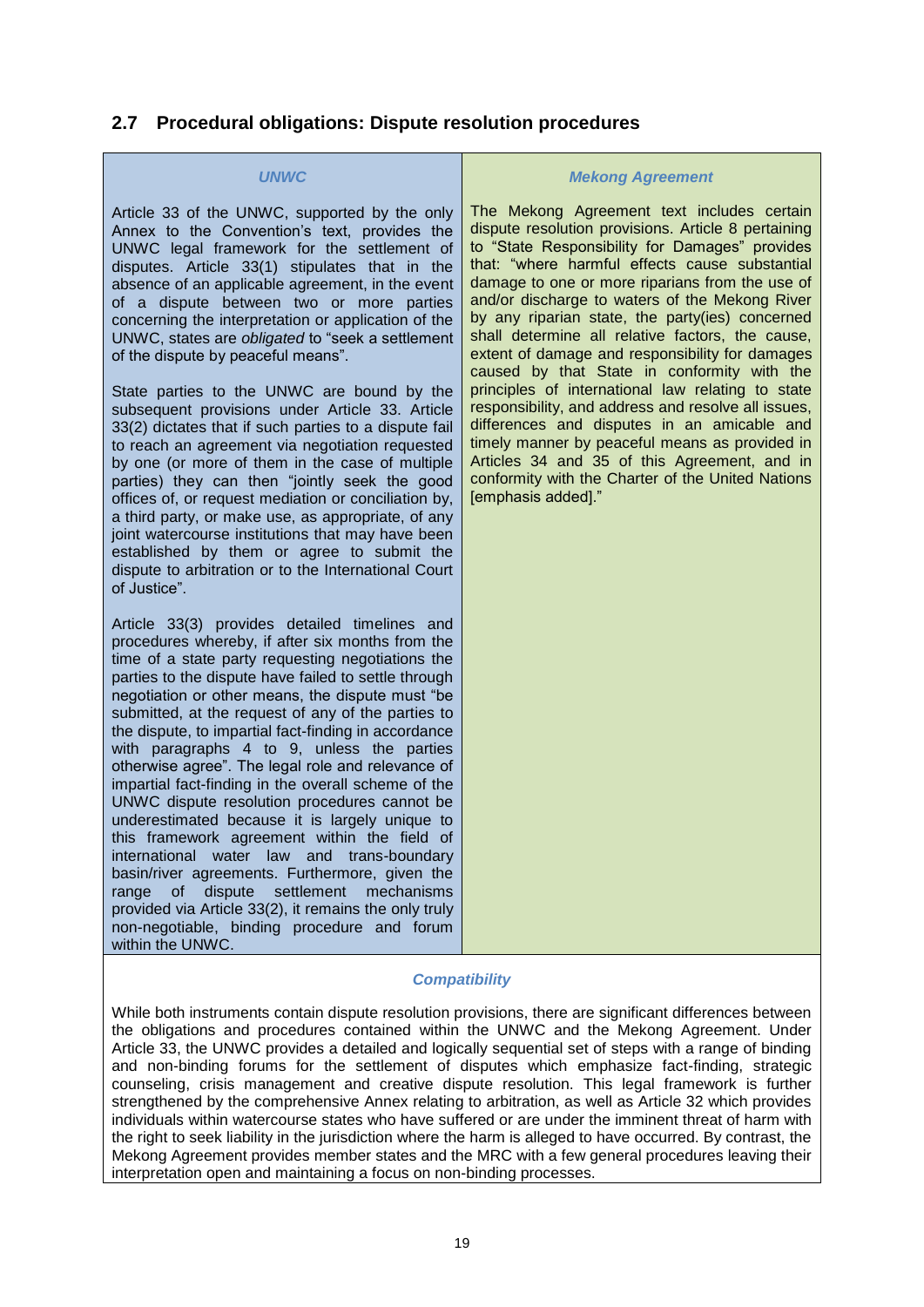# <span id="page-18-0"></span>**2.7 Procedural obligations: Dispute resolution procedures**

#### *UNWC*

Article 33 of the UNWC, supported by the only Annex to the Convention's text, provides the UNWC legal framework for the settlement of disputes. Article 33(1) stipulates that in the absence of an applicable agreement, in the event of a dispute between two or more parties concerning the interpretation or application of the UNWC, states are *obligated* to "seek a settlement of the dispute by peaceful means".

State parties to the UNWC are bound by the subsequent provisions under Article 33. Article 33(2) dictates that if such parties to a dispute fail to reach an agreement via negotiation requested by one (or more of them in the case of multiple parties) they can then "jointly seek the good offices of, or request mediation or conciliation by, a third party, or make use, as appropriate, of any joint watercourse institutions that may have been established by them or agree to submit the dispute to arbitration or to the International Court of Justice".

Article 33(3) provides detailed timelines and procedures whereby, if after six months from the time of a state party requesting negotiations the parties to the dispute have failed to settle through negotiation or other means, the dispute must "be submitted, at the request of any of the parties to the dispute, to impartial fact-finding in accordance with paragraphs 4 to 9, unless the parties otherwise agree". The legal role and relevance of impartial fact-finding in the overall scheme of the UNWC dispute resolution procedures cannot be underestimated because it is largely unique to this framework agreement within the field of international water law and trans-boundary basin/river agreements. Furthermore, given the range of dispute settlement mechanisms provided via Article 33(2), it remains the only truly non-negotiable, binding procedure and forum within the UNWC.

#### *Mekong Agreement*

The Mekong Agreement text includes certain dispute resolution provisions. Article 8 pertaining to "State Responsibility for Damages" provides that: "where harmful effects cause substantial damage to one or more riparians from the use of and/or discharge to waters of the Mekong River by any riparian state, the party(ies) concerned shall determine all relative factors, the cause, extent of damage and responsibility for damages caused by that State in conformity with the principles of international law relating to state responsibility, and address and resolve all issues, differences and disputes in an amicable and timely manner by peaceful means as provided in Articles 34 and 35 of this Agreement, and in conformity with the Charter of the United Nations [emphasis added]."

#### *Compatibility*

While both instruments contain dispute resolution provisions, there are significant differences between the obligations and procedures contained within the UNWC and the Mekong Agreement. Under Article 33, the UNWC provides a detailed and logically sequential set of steps with a range of binding and non-binding forums for the settlement of disputes which emphasize fact-finding, strategic counseling, crisis management and creative dispute resolution. This legal framework is further strengthened by the comprehensive Annex relating to arbitration, as well as Article 32 which provides individuals within watercourse states who have suffered or are under the imminent threat of harm with the right to seek liability in the jurisdiction where the harm is alleged to have occurred. By contrast, the Mekong Agreement provides member states and the MRC with a few general procedures leaving their interpretation open and maintaining a focus on non-binding processes.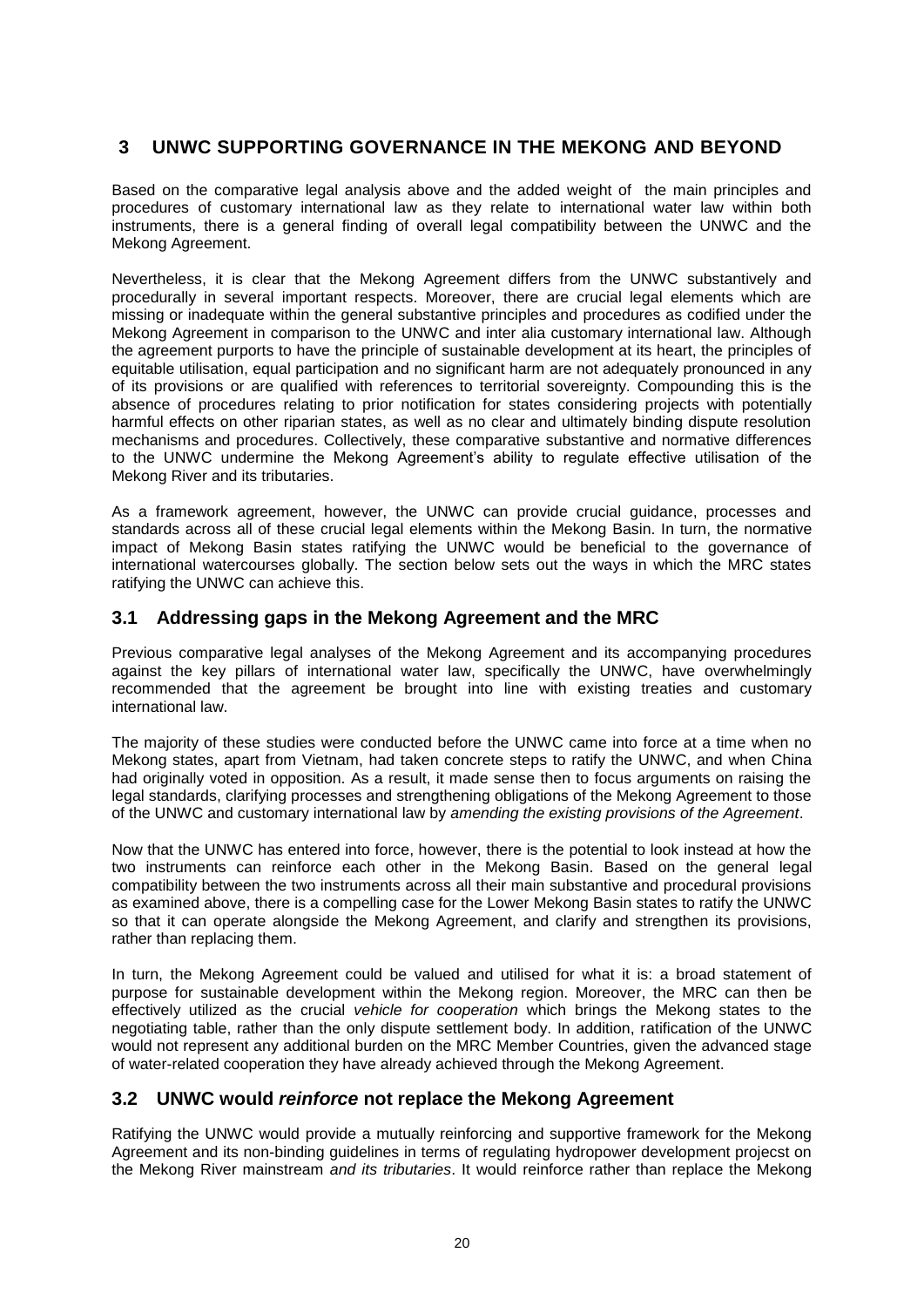# <span id="page-19-0"></span>**3 UNWC SUPPORTING GOVERNANCE IN THE MEKONG AND BEYOND**

Based on the comparative legal analysis above and the added weight of the main principles and procedures of customary international law as they relate to international water law within both instruments, there is a general finding of overall legal compatibility between the UNWC and the Mekong Agreement.

Nevertheless, it is clear that the Mekong Agreement differs from the UNWC substantively and procedurally in several important respects. Moreover, there are crucial legal elements which are missing or inadequate within the general substantive principles and procedures as codified under the Mekong Agreement in comparison to the UNWC and inter alia customary international law. Although the agreement purports to have the principle of sustainable development at its heart, the principles of equitable utilisation, equal participation and no significant harm are not adequately pronounced in any of its provisions or are qualified with references to territorial sovereignty. Compounding this is the absence of procedures relating to prior notification for states considering projects with potentially harmful effects on other riparian states, as well as no clear and ultimately binding dispute resolution mechanisms and procedures. Collectively, these comparative substantive and normative differences to the UNWC undermine the Mekong Agreement's ability to regulate effective utilisation of the Mekong River and its tributaries.

As a framework agreement, however, the UNWC can provide crucial guidance, processes and standards across all of these crucial legal elements within the Mekong Basin. In turn, the normative impact of Mekong Basin states ratifying the UNWC would be beneficial to the governance of international watercourses globally. The section below sets out the ways in which the MRC states ratifying the UNWC can achieve this.

### <span id="page-19-1"></span>**3.1 Addressing gaps in the Mekong Agreement and the MRC**

Previous comparative legal analyses of the Mekong Agreement and its accompanying procedures against the key pillars of international water law, specifically the UNWC, have overwhelmingly recommended that the agreement be brought into line with existing treaties and customary international law.

The majority of these studies were conducted before the UNWC came into force at a time when no Mekong states, apart from Vietnam, had taken concrete steps to ratify the UNWC, and when China had originally voted in opposition. As a result, it made sense then to focus arguments on raising the legal standards, clarifying processes and strengthening obligations of the Mekong Agreement to those of the UNWC and customary international law by *amending the existing provisions of the Agreement*.

Now that the UNWC has entered into force, however, there is the potential to look instead at how the two instruments can reinforce each other in the Mekong Basin. Based on the general legal compatibility between the two instruments across all their main substantive and procedural provisions as examined above, there is a compelling case for the Lower Mekong Basin states to ratify the UNWC so that it can operate alongside the Mekong Agreement, and clarify and strengthen its provisions, rather than replacing them.

In turn, the Mekong Agreement could be valued and utilised for what it is: a broad statement of purpose for sustainable development within the Mekong region. Moreover, the MRC can then be effectively utilized as the crucial *vehicle for cooperation* which brings the Mekong states to the negotiating table, rather than the only dispute settlement body. In addition, ratification of the UNWC would not represent any additional burden on the MRC Member Countries, given the advanced stage of water-related cooperation they have already achieved through the Mekong Agreement.

### <span id="page-19-2"></span>**3.2 UNWC would** *reinforce* **not replace the Mekong Agreement**

Ratifying the UNWC would provide a mutually reinforcing and supportive framework for the Mekong Agreement and its non-binding guidelines in terms of regulating hydropower development projecst on the Mekong River mainstream *and its tributaries*. It would reinforce rather than replace the Mekong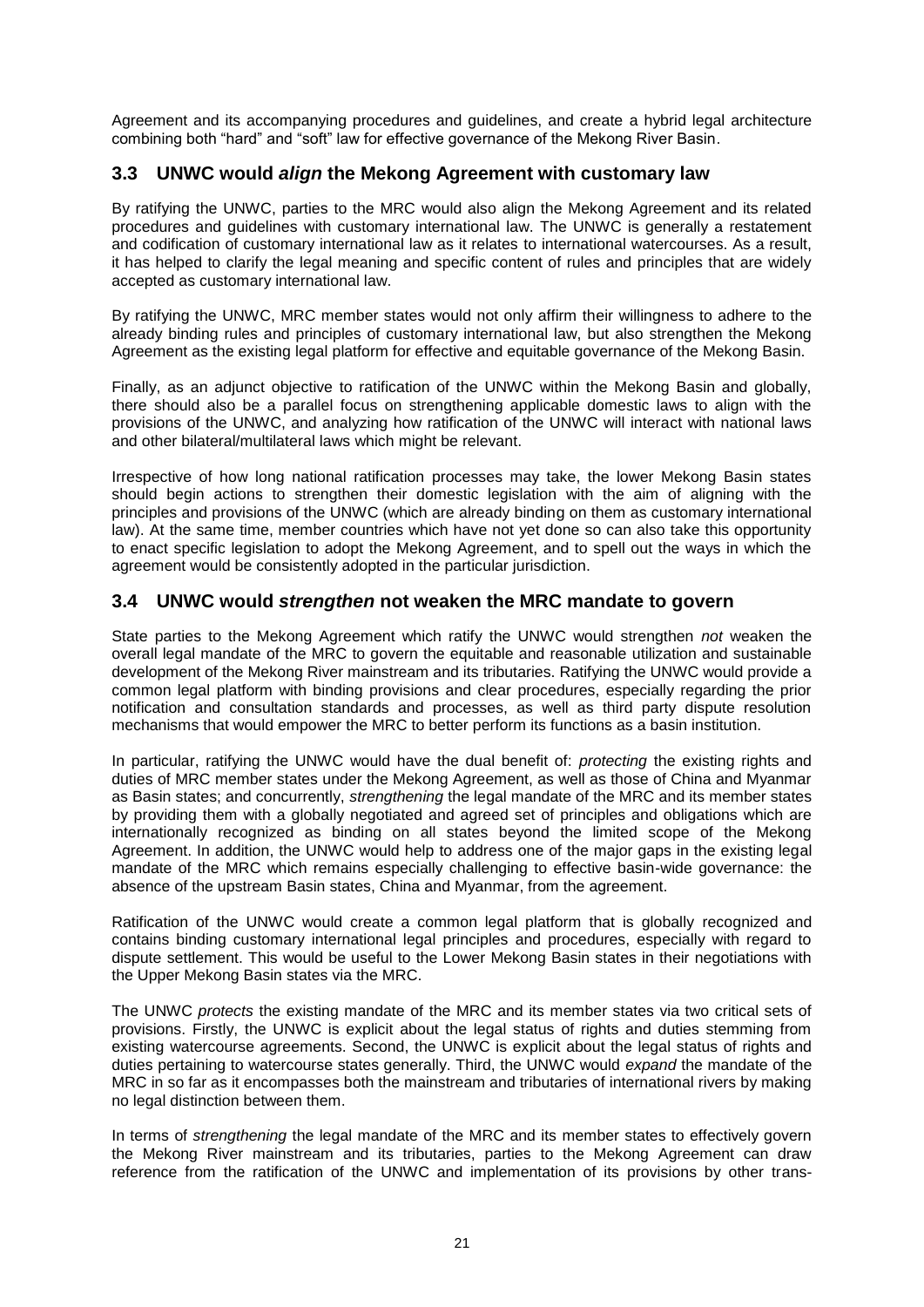Agreement and its accompanying procedures and guidelines, and create a hybrid legal architecture combining both "hard" and "soft" law for effective governance of the Mekong River Basin.

### <span id="page-20-0"></span>**3.3 UNWC would** *align* **the Mekong Agreement with customary law**

By ratifying the UNWC, parties to the MRC would also align the Mekong Agreement and its related procedures and guidelines with customary international law. The UNWC is generally a restatement and codification of customary international law as it relates to international watercourses. As a result, it has helped to clarify the legal meaning and specific content of rules and principles that are widely accepted as customary international law.

By ratifying the UNWC, MRC member states would not only affirm their willingness to adhere to the already binding rules and principles of customary international law, but also strengthen the Mekong Agreement as the existing legal platform for effective and equitable governance of the Mekong Basin.

Finally, as an adjunct objective to ratification of the UNWC within the Mekong Basin and globally, there should also be a parallel focus on strengthening applicable domestic laws to align with the provisions of the UNWC, and analyzing how ratification of the UNWC will interact with national laws and other bilateral/multilateral laws which might be relevant.

Irrespective of how long national ratification processes may take, the lower Mekong Basin states should begin actions to strengthen their domestic legislation with the aim of aligning with the principles and provisions of the UNWC (which are already binding on them as customary international law). At the same time, member countries which have not yet done so can also take this opportunity to enact specific legislation to adopt the Mekong Agreement, and to spell out the ways in which the agreement would be consistently adopted in the particular jurisdiction.

### <span id="page-20-1"></span>**3.4 UNWC would** *strengthen* **not weaken the MRC mandate to govern**

State parties to the Mekong Agreement which ratify the UNWC would strengthen *not* weaken the overall legal mandate of the MRC to govern the equitable and reasonable utilization and sustainable development of the Mekong River mainstream and its tributaries. Ratifying the UNWC would provide a common legal platform with binding provisions and clear procedures, especially regarding the prior notification and consultation standards and processes, as well as third party dispute resolution mechanisms that would empower the MRC to better perform its functions as a basin institution.

In particular, ratifying the UNWC would have the dual benefit of: *protecting* the existing rights and duties of MRC member states under the Mekong Agreement, as well as those of China and Myanmar as Basin states; and concurrently, *strengthening* the legal mandate of the MRC and its member states by providing them with a globally negotiated and agreed set of principles and obligations which are internationally recognized as binding on all states beyond the limited scope of the Mekong Agreement. In addition, the UNWC would help to address one of the major gaps in the existing legal mandate of the MRC which remains especially challenging to effective basin-wide governance: the absence of the upstream Basin states, China and Myanmar, from the agreement.

Ratification of the UNWC would create a common legal platform that is globally recognized and contains binding customary international legal principles and procedures, especially with regard to dispute settlement. This would be useful to the Lower Mekong Basin states in their negotiations with the Upper Mekong Basin states via the MRC.

The UNWC *protects* the existing mandate of the MRC and its member states via two critical sets of provisions. Firstly, the UNWC is explicit about the legal status of rights and duties stemming from existing watercourse agreements. Second, the UNWC is explicit about the legal status of rights and duties pertaining to watercourse states generally. Third, the UNWC would *expand* the mandate of the MRC in so far as it encompasses both the mainstream and tributaries of international rivers by making no legal distinction between them.

In terms of *strengthening* the legal mandate of the MRC and its member states to effectively govern the Mekong River mainstream and its tributaries, parties to the Mekong Agreement can draw reference from the ratification of the UNWC and implementation of its provisions by other trans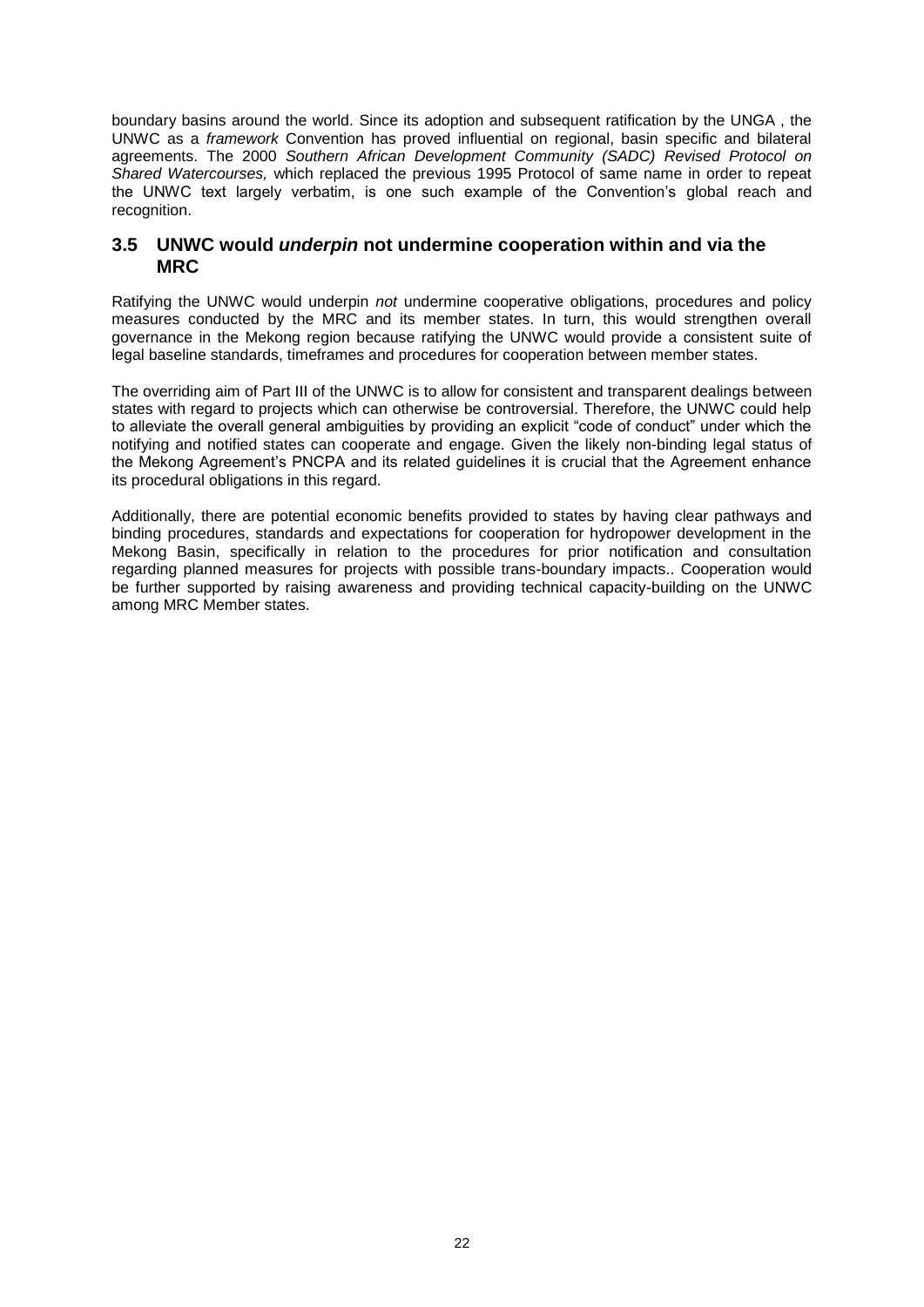boundary basins around the world. Since its adoption and subsequent ratification by the UNGA , the UNWC as a *framework* Convention has proved influential on regional, basin specific and bilateral agreements. The 2000 *Southern African Development Community (SADC) Revised Protocol on Shared Watercourses,* which replaced the previous 1995 Protocol of same name in order to repeat the UNWC text largely verbatim, is one such example of the Convention's global reach and recognition.

### <span id="page-21-0"></span>**3.5 UNWC would** *underpin* **not undermine cooperation within and via the MRC**

Ratifying the UNWC would underpin *not* undermine cooperative obligations, procedures and policy measures conducted by the MRC and its member states. In turn, this would strengthen overall governance in the Mekong region because ratifying the UNWC would provide a consistent suite of legal baseline standards, timeframes and procedures for cooperation between member states.

The overriding aim of Part III of the UNWC is to allow for consistent and transparent dealings between states with regard to projects which can otherwise be controversial. Therefore, the UNWC could help to alleviate the overall general ambiguities by providing an explicit "code of conduct" under which the notifying and notified states can cooperate and engage. Given the likely non-binding legal status of the Mekong Agreement's PNCPA and its related guidelines it is crucial that the Agreement enhance its procedural obligations in this regard.

Additionally, there are potential economic benefits provided to states by having clear pathways and binding procedures, standards and expectations for cooperation for hydropower development in the Mekong Basin, specifically in relation to the procedures for prior notification and consultation regarding planned measures for projects with possible trans-boundary impacts.. Cooperation would be further supported by raising awareness and providing technical capacity-building on the UNWC among MRC Member states.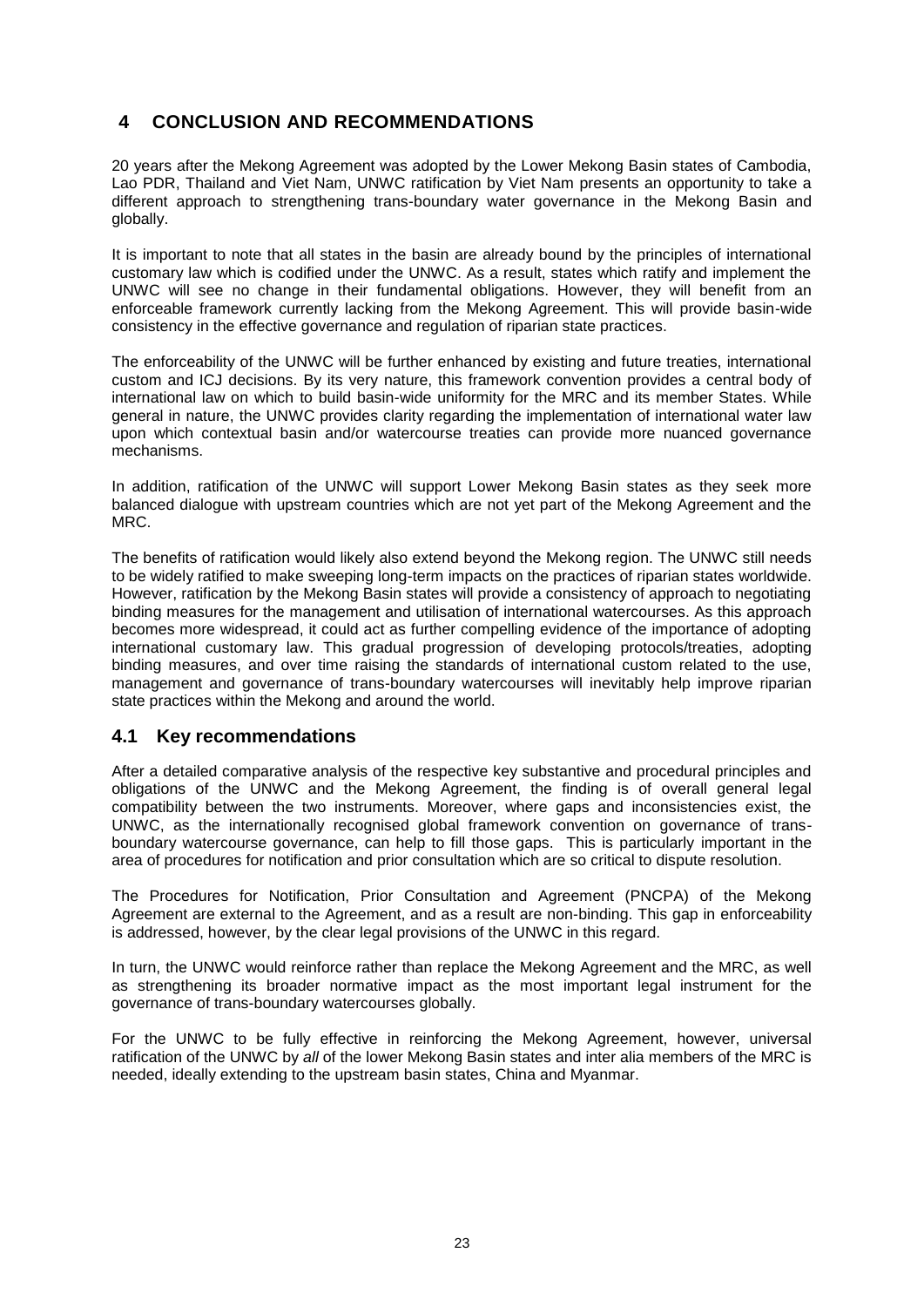# <span id="page-22-0"></span>**4 CONCLUSION AND RECOMMENDATIONS**

20 years after the Mekong Agreement was adopted by the Lower Mekong Basin states of Cambodia, Lao PDR, Thailand and Viet Nam, UNWC ratification by Viet Nam presents an opportunity to take a different approach to strengthening trans-boundary water governance in the Mekong Basin and globally.

It is important to note that all states in the basin are already bound by the principles of international customary law which is codified under the UNWC. As a result, states which ratify and implement the UNWC will see no change in their fundamental obligations. However, they will benefit from an enforceable framework currently lacking from the Mekong Agreement. This will provide basin-wide consistency in the effective governance and regulation of riparian state practices.

The enforceability of the UNWC will be further enhanced by existing and future treaties, international custom and ICJ decisions. By its very nature, this framework convention provides a central body of international law on which to build basin-wide uniformity for the MRC and its member States. While general in nature, the UNWC provides clarity regarding the implementation of international water law upon which contextual basin and/or watercourse treaties can provide more nuanced governance mechanisms.

In addition, ratification of the UNWC will support Lower Mekong Basin states as they seek more balanced dialogue with upstream countries which are not yet part of the Mekong Agreement and the MRC.

The benefits of ratification would likely also extend beyond the Mekong region. The UNWC still needs to be widely ratified to make sweeping long-term impacts on the practices of riparian states worldwide. However, ratification by the Mekong Basin states will provide a consistency of approach to negotiating binding measures for the management and utilisation of international watercourses. As this approach becomes more widespread, it could act as further compelling evidence of the importance of adopting international customary law. This gradual progression of developing protocols/treaties, adopting binding measures, and over time raising the standards of international custom related to the use, management and governance of trans-boundary watercourses will inevitably help improve riparian state practices within the Mekong and around the world.

### <span id="page-22-1"></span>**4.1 Key recommendations**

After a detailed comparative analysis of the respective key substantive and procedural principles and obligations of the UNWC and the Mekong Agreement, the finding is of overall general legal compatibility between the two instruments. Moreover, where gaps and inconsistencies exist, the UNWC, as the internationally recognised global framework convention on governance of transboundary watercourse governance, can help to fill those gaps. This is particularly important in the area of procedures for notification and prior consultation which are so critical to dispute resolution.

The Procedures for Notification, Prior Consultation and Agreement (PNCPA) of the Mekong Agreement are external to the Agreement, and as a result are non-binding. This gap in enforceability is addressed, however, by the clear legal provisions of the UNWC in this regard.

In turn, the UNWC would reinforce rather than replace the Mekong Agreement and the MRC, as well as strengthening its broader normative impact as the most important legal instrument for the governance of trans-boundary watercourses globally.

For the UNWC to be fully effective in reinforcing the Mekong Agreement, however, universal ratification of the UNWC by *all* of the lower Mekong Basin states and inter alia members of the MRC is needed, ideally extending to the upstream basin states, China and Myanmar.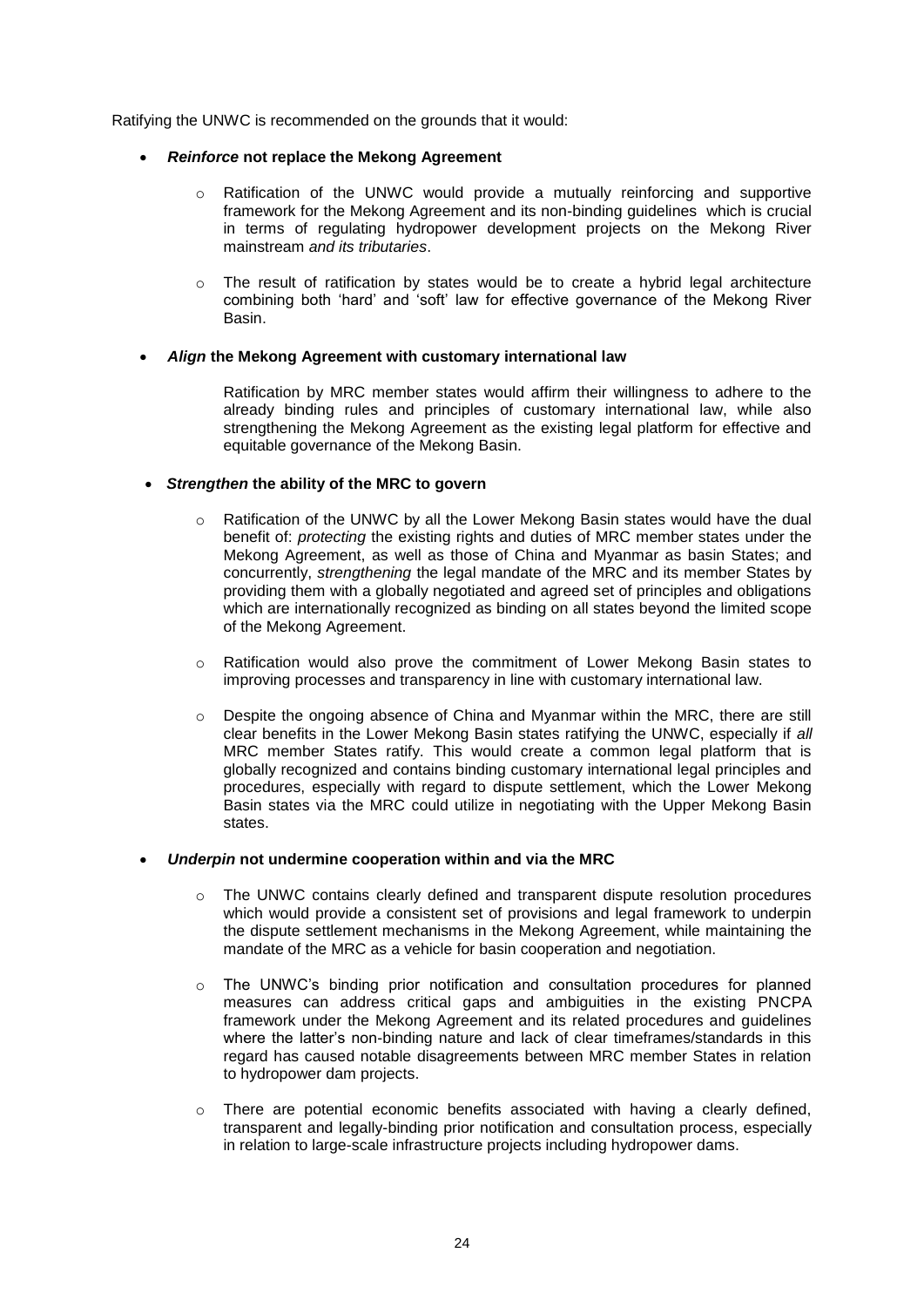Ratifying the UNWC is recommended on the grounds that it would:

#### *Reinforce* **not replace the Mekong Agreement**

- o Ratification of the UNWC would provide a mutually reinforcing and supportive framework for the Mekong Agreement and its non-binding guidelines which is crucial in terms of regulating hydropower development projects on the Mekong River mainstream *and its tributaries*.
- $\circ$  The result of ratification by states would be to create a hybrid legal architecture combining both 'hard' and 'soft' law for effective governance of the Mekong River Basin.

#### *Align* **the Mekong Agreement with customary international law**

Ratification by MRC member states would affirm their willingness to adhere to the already binding rules and principles of customary international law, while also strengthening the Mekong Agreement as the existing legal platform for effective and equitable governance of the Mekong Basin.

#### *Strengthen* **the ability of the MRC to govern**

- o Ratification of the UNWC by all the Lower Mekong Basin states would have the dual benefit of: *protecting* the existing rights and duties of MRC member states under the Mekong Agreement, as well as those of China and Myanmar as basin States; and concurrently, *strengthening* the legal mandate of the MRC and its member States by providing them with a globally negotiated and agreed set of principles and obligations which are internationally recognized as binding on all states beyond the limited scope of the Mekong Agreement.
- o Ratification would also prove the commitment of Lower Mekong Basin states to improving processes and transparency in line with customary international law.
- o Despite the ongoing absence of China and Myanmar within the MRC, there are still clear benefits in the Lower Mekong Basin states ratifying the UNWC, especially if *all* MRC member States ratify. This would create a common legal platform that is globally recognized and contains binding customary international legal principles and procedures, especially with regard to dispute settlement, which the Lower Mekong Basin states via the MRC could utilize in negotiating with the Upper Mekong Basin states.

#### *Underpin* **not undermine cooperation within and via the MRC**

- $\circ$  The UNWC contains clearly defined and transparent dispute resolution procedures which would provide a consistent set of provisions and legal framework to underpin the dispute settlement mechanisms in the Mekong Agreement, while maintaining the mandate of the MRC as a vehicle for basin cooperation and negotiation.
- $\circ$  The UNWC's binding prior notification and consultation procedures for planned measures can address critical gaps and ambiguities in the existing PNCPA framework under the Mekong Agreement and its related procedures and guidelines where the latter's non-binding nature and lack of clear timeframes/standards in this regard has caused notable disagreements between MRC member States in relation to hydropower dam projects.
- There are potential economic benefits associated with having a clearly defined, transparent and legally-binding prior notification and consultation process, especially in relation to large-scale infrastructure projects including hydropower dams.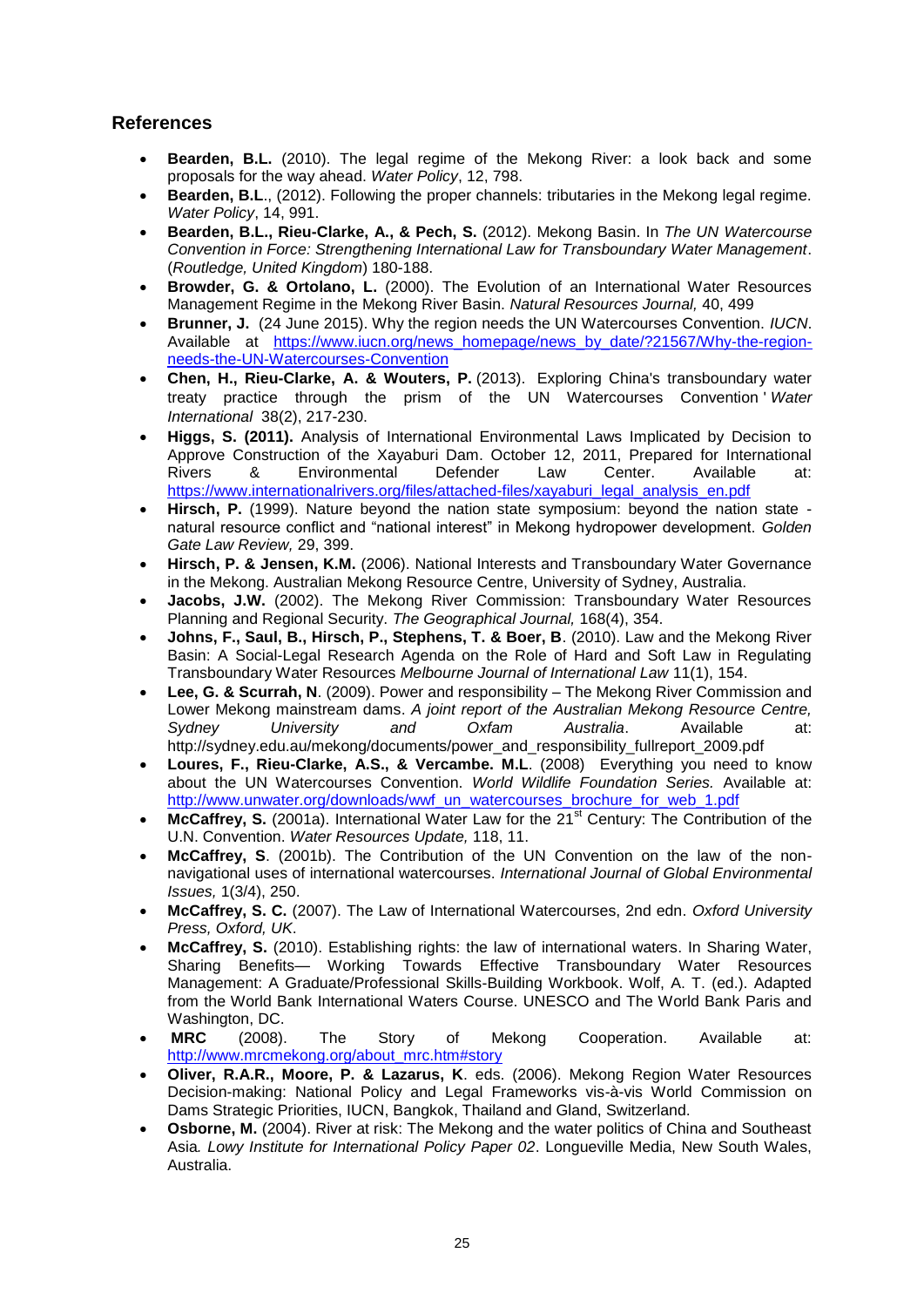## <span id="page-24-0"></span>**References**

- **Bearden, B.L.** (2010). The legal regime of the Mekong River: a look back and some proposals for the way ahead. *Water Policy*, 12, 798.
- **Bearden, B.L**., (2012). Following the proper channels: tributaries in the Mekong legal regime. *Water Policy*, 14, 991.
- **Bearden, B.L., Rieu-Clarke, A., & Pech, S.** (2012). Mekong Basin. In *The UN Watercourse Convention in Force: Strengthening International Law for Transboundary Water Management*. (*Routledge, United Kingdom*) 180-188.
- **Browder, G. & Ortolano, L.** (2000). The Evolution of an International Water Resources Management Regime in the Mekong River Basin. *Natural Resources Journal,* 40, 499
- **Brunner, J.** (24 June 2015). Why the region needs the UN Watercourses Convention. *IUCN*. Available at [https://www.iucn.org/news\\_homepage/news\\_by\\_date/?21567/Why-the-region](https://www.iucn.org/news_homepage/news_by_date/?21567/Why-the-region-needs-the-UN-Watercourses-Convention)[needs-the-UN-Watercourses-Convention](https://www.iucn.org/news_homepage/news_by_date/?21567/Why-the-region-needs-the-UN-Watercourses-Convention)
- **Chen, H., Rieu-Clarke, A. & Wouters, P.** (2013). Exploring China's transboundary water treaty practice through the prism of the UN Watercourses Convention ' *Water International* 38(2), 217-230.
- **Higgs, S. (2011).** Analysis of International Environmental Laws Implicated by Decision to Approve Construction of the Xayaburi Dam. October 12, 2011, Prepared for International<br>Rivers & Environmental Defender Law Center. Available at: Rivers & Environmental Defender Law Center. Available at: [https://www.internationalrivers.org/files/attached-files/xayaburi\\_legal\\_analysis\\_en.pdf](https://www.internationalrivers.org/files/attached-files/xayaburi_legal_analysis_en.pdf)
- **Hirsch, P.** (1999). Nature beyond the nation state symposium: beyond the nation state natural resource conflict and "national interest" in Mekong hydropower development. *Golden Gate Law Review,* 29, 399.
- **Hirsch, P. & Jensen, K.M.** (2006). National Interests and Transboundary Water Governance in the Mekong. Australian Mekong Resource Centre, University of Sydney, Australia.
- **Jacobs, J.W.** (2002). The Mekong River Commission: Transboundary Water Resources Planning and Regional Security. *The Geographical Journal,* 168(4), 354.
- **Johns, F., Saul, B., Hirsch, P., Stephens, T. & Boer, B**. (2010). Law and the Mekong River Basin: A Social-Legal Research Agenda on the Role of Hard and Soft Law in Regulating Transboundary Water Resources *Melbourne Journal of International Law* 11(1), 154.
- **Lee, G. & Scurrah, N**. (2009). Power and responsibility The Mekong River Commission and Lower Mekong mainstream dams. *A joint report of the Australian Mekong Resource Centre, Sydney University and Oxfam Australia*. Available at: http://sydney.edu.au/mekong/documents/power\_and\_responsibility\_fullreport\_2009.pdf
- **Loures, F., Rieu-Clarke, A.S., & Vercambe. M.L**. (2008) Everything you need to know about the UN Watercourses Convention. *World Wildlife Foundation Series.* Available at: [http://www.unwater.org/downloads/wwf\\_un\\_watercourses\\_brochure\\_for\\_web\\_1.pdf](http://www.unwater.org/downloads/wwf_un_watercourses_brochure_for_web_1.pdf)
- McCaffrey, S. (2001a). International Water Law for the 21<sup>st</sup> Century: The Contribution of the U.N. Convention. *Water Resources Update,* 118, 11.
- **McCaffrey, S**. (2001b). The Contribution of the UN Convention on the law of the nonnavigational uses of international watercourses. *International Journal of Global Environmental Issues,* 1(3/4), 250.
- **McCaffrey, S. C.** (2007). The Law of International Watercourses, 2nd edn. *Oxford University Press, Oxford, UK*.
- **McCaffrey, S.** (2010). Establishing rights: the law of international waters. In Sharing Water, Sharing Benefits— Working Towards Effective Transboundary Water Resources Management: A Graduate/Professional Skills-Building Workbook. Wolf, A. T. (ed.). Adapted from the World Bank International Waters Course. UNESCO and The World Bank Paris and Washington, DC.
- **MRC** (2008). The Story of Mekong Cooperation. Available at: [http://www.mrcmekong.org/about\\_mrc.htm#story](http://www.mrcmekong.org/about_mrc.htm#story)
- **Oliver, R.A.R., Moore, P. & Lazarus, K**. eds. (2006). Mekong Region Water Resources Decision-making: National Policy and Legal Frameworks vis-à-vis World Commission on Dams Strategic Priorities, IUCN, Bangkok, Thailand and Gland, Switzerland.
- **Osborne, M.** (2004). River at risk: The Mekong and the water politics of China and Southeast Asia*. Lowy Institute for International Policy Paper 02*. Longueville Media, New South Wales, Australia.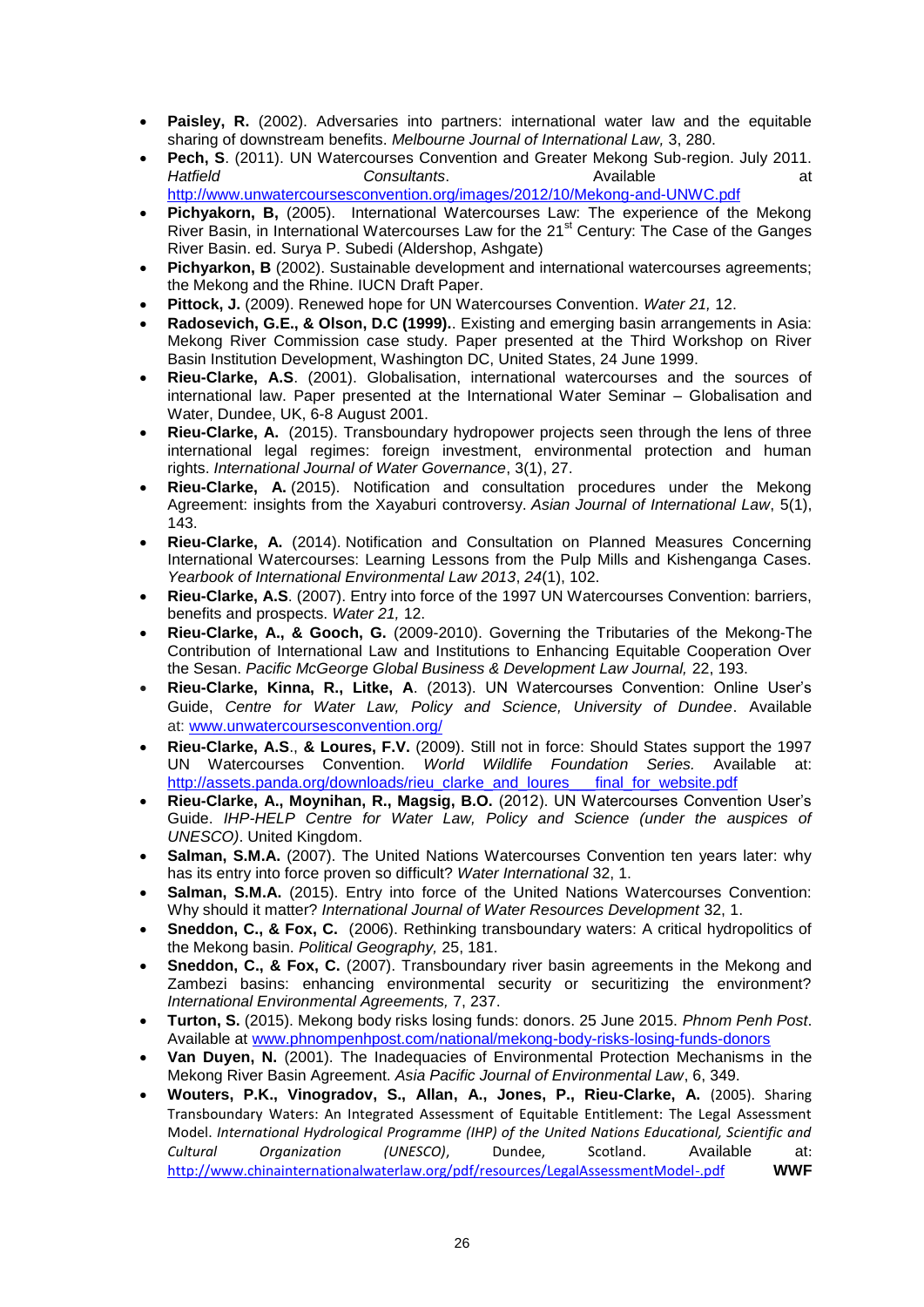- **Paisley, R.** (2002). Adversaries into partners: international water law and the equitable sharing of downstream benefits. *Melbourne Journal of International Law,* 3, 280.
- **Pech, S**. (2011). UN Watercourses Convention and Greater Mekong Sub-region. July 2011. *Consultants.* Available **at at a** Available **at** <http://www.unwatercoursesconvention.org/images/2012/10/Mekong-and-UNWC.pdf>
- **Pichyakorn, B,** (2005). International Watercourses Law: The experience of the Mekong River Basin, in International Watercourses Law for the 21<sup>st</sup> Century: The Case of the Ganges River Basin. ed. Surya P. Subedi (Aldershop, Ashgate)
- **Pichyarkon, B** (2002). Sustainable development and international watercourses agreements; the Mekong and the Rhine. IUCN Draft Paper.
- **Pittock, J.** (2009). Renewed hope for UN Watercourses Convention. *Water 21,* 12.
- **Radosevich, G.E., & Olson, D.C (1999).**. Existing and emerging basin arrangements in Asia: Mekong River Commission case study. Paper presented at the Third Workshop on River Basin Institution Development, Washington DC, United States, 24 June 1999.
- **Rieu-Clarke, A.S**. (2001). Globalisation, international watercourses and the sources of international law. Paper presented at the International Water Seminar – Globalisation and Water, Dundee, UK, 6-8 August 2001.
- **Rieu-Clarke, A.** (2015). Transboundary hydropower projects seen through the lens of three international legal regimes: foreign investment, environmental protection and human rights. *International Journal of Water Governance*, 3(1), 27.
- **Rieu-Clarke, A.** (2015). Notification and consultation procedures under the Mekong Agreement: insights from the Xayaburi controversy. *Asian Journal of International Law*, 5(1),  $143.$
- **Rieu-Clarke, A.** (2014). Notification and Consultation on Planned Measures Concerning International Watercourses: Learning Lessons from the Pulp Mills and Kishenganga Cases. *Yearbook of International Environmental Law 2013*, *24*(1), 102.
- **Rieu-Clarke, A.S**. (2007). Entry into force of the 1997 UN Watercourses Convention: barriers, benefits and prospects. *Water 21,* 12.
- **Rieu-Clarke, A., & Gooch, G.** (2009-2010). Governing the Tributaries of the Mekong-The Contribution of International Law and Institutions to Enhancing Equitable Cooperation Over the Sesan. *Pacific McGeorge Global Business & Development Law Journal,* 22, 193.
- **Rieu-Clarke, Kinna, R., Litke, A**. (2013). UN Watercourses Convention: Online User's Guide, *Centre for Water Law, Policy and Science, University of Dundee*. Available at: [www.unwatercoursesconvention.org/](http://www.unwatercoursesconvention.org/)
- **Rieu-Clarke, A.S**., **& Loures, F.V.** (2009). Still not in force: Should States support the 1997 UN Watercourses Convention. *World Wildlife Foundation Series.* Available at: http://assets.panda.org/downloads/rieu\_clarke\_and\_loures\_\_\_final\_for\_website.pdf
- **Rieu-Clarke, A., Moynihan, R., Magsig, B.O.** (2012). UN Watercourses Convention User's Guide. *IHP-HELP Centre for Water Law, Policy and Science (under the auspices of UNESCO)*. United Kingdom.
- **Salman, S.M.A.** (2007). The United Nations Watercourses Convention ten years later: why has its entry into force proven so difficult? *Water International* 32, 1.
- Salman, S.M.A. (2015). Entry into force of the United Nations Watercourses Convention: Why should it matter? *International Journal of Water Resources Development* 32, 1.
- **Sneddon, C., & Fox, C.** (2006). Rethinking transboundary waters: A critical hydropolitics of the Mekong basin. *Political Geography,* 25, 181.
- **Sneddon, C., & Fox, C.** (2007). Transboundary river basin agreements in the Mekong and Zambezi basins: enhancing environmental security or securitizing the environment? *International Environmental Agreements,* 7, 237.
- **Turton, S.** (2015). Mekong body risks losing funds: donors. 25 June 2015. *Phnom Penh Post*. Available at [www.phnompenhpost.com/national/mekong-body-risks-losing-funds-donors](http://www.phnompenhpost.com/national/mekong-body-risks-losing-funds-donors)
- **Van Duyen, N.** (2001). The Inadequacies of Environmental Protection Mechanisms in the Mekong River Basin Agreement. *Asia Pacific Journal of Environmental Law*, 6, 349.
- **Wouters, P.K., Vinogradov, S., Allan, A., Jones, P., Rieu-Clarke, A.** (2005). Sharing Transboundary Waters: An Integrated Assessment of Equitable Entitlement: The Legal Assessment Model. *International Hydrological Programme (IHP) of the United Nations Educational, Scientific and Cultural Organization (UNESCO)*, Dundee, Scotland. Available at: <http://www.chinainternationalwaterlaw.org/pdf/resources/LegalAssessmentModel-.pdf> **WWF**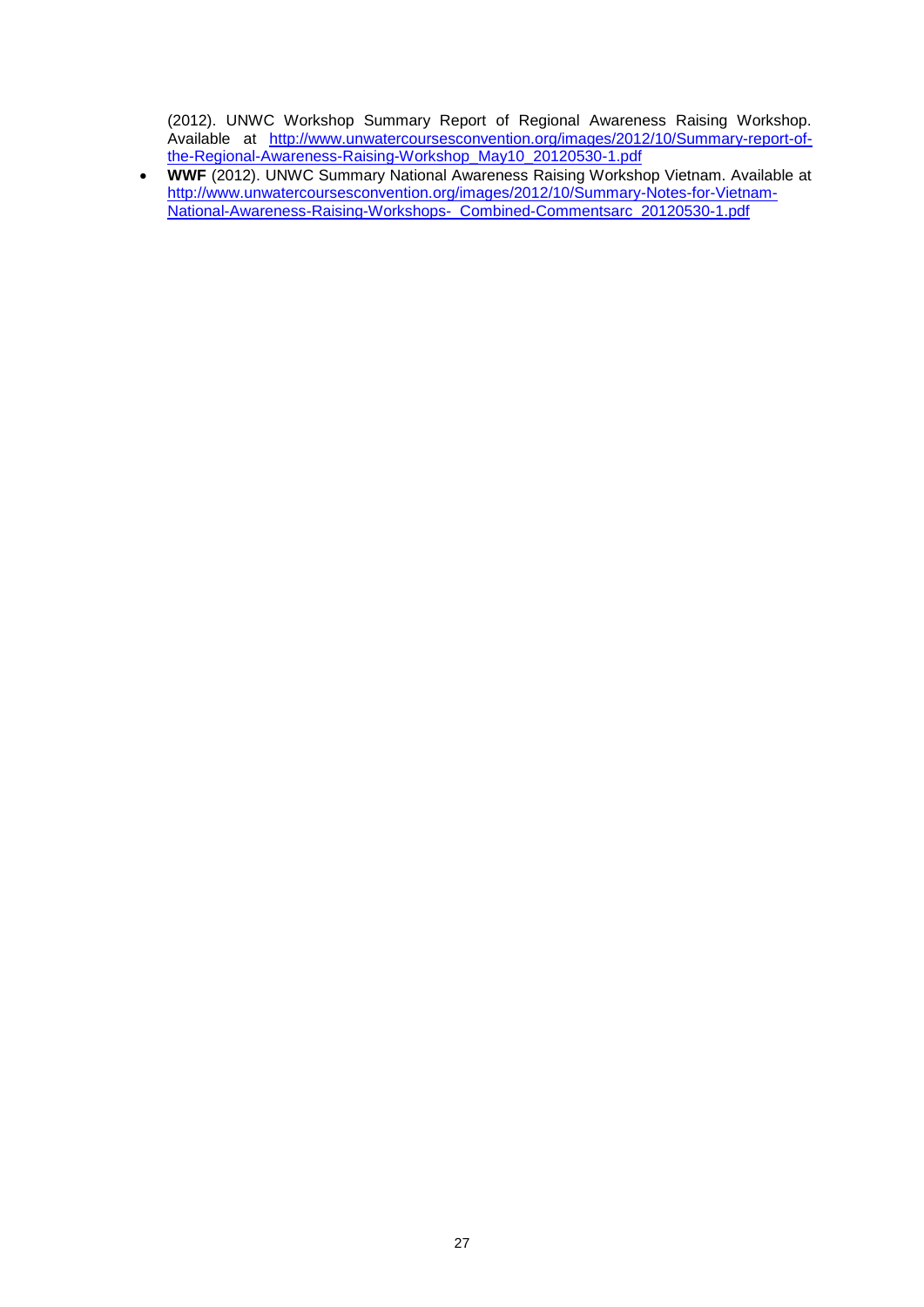(2012). UNWC Workshop Summary Report of Regional Awareness Raising Workshop. Available at [http://www.unwatercoursesconvention.org/images/2012/10/Summary-report-of](http://www.unwatercoursesconvention.org/images/2012/10/Summary-report-of-the-Regional-Awareness-Raising-Workshop_May10_20120530-1.pdf)[the-Regional-Awareness-Raising-Workshop\\_May10\\_20120530-1.pdf](http://www.unwatercoursesconvention.org/images/2012/10/Summary-report-of-the-Regional-Awareness-Raising-Workshop_May10_20120530-1.pdf)

 **WWF** (2012). UNWC Summary National Awareness Raising Workshop Vietnam. Available at [http://www.unwatercoursesconvention.org/images/2012/10/Summary-Notes-for-Vietnam-](http://www.unwatercoursesconvention.org/images/2012/10/Summary-Notes-for-Vietnam-National-Awareness-Raising-Workshops-_Combined-Commentsarc_20120530-1.pdf)[National-Awareness-Raising-Workshops-\\_Combined-Commentsarc\\_20120530-1.pdf](http://www.unwatercoursesconvention.org/images/2012/10/Summary-Notes-for-Vietnam-National-Awareness-Raising-Workshops-_Combined-Commentsarc_20120530-1.pdf)